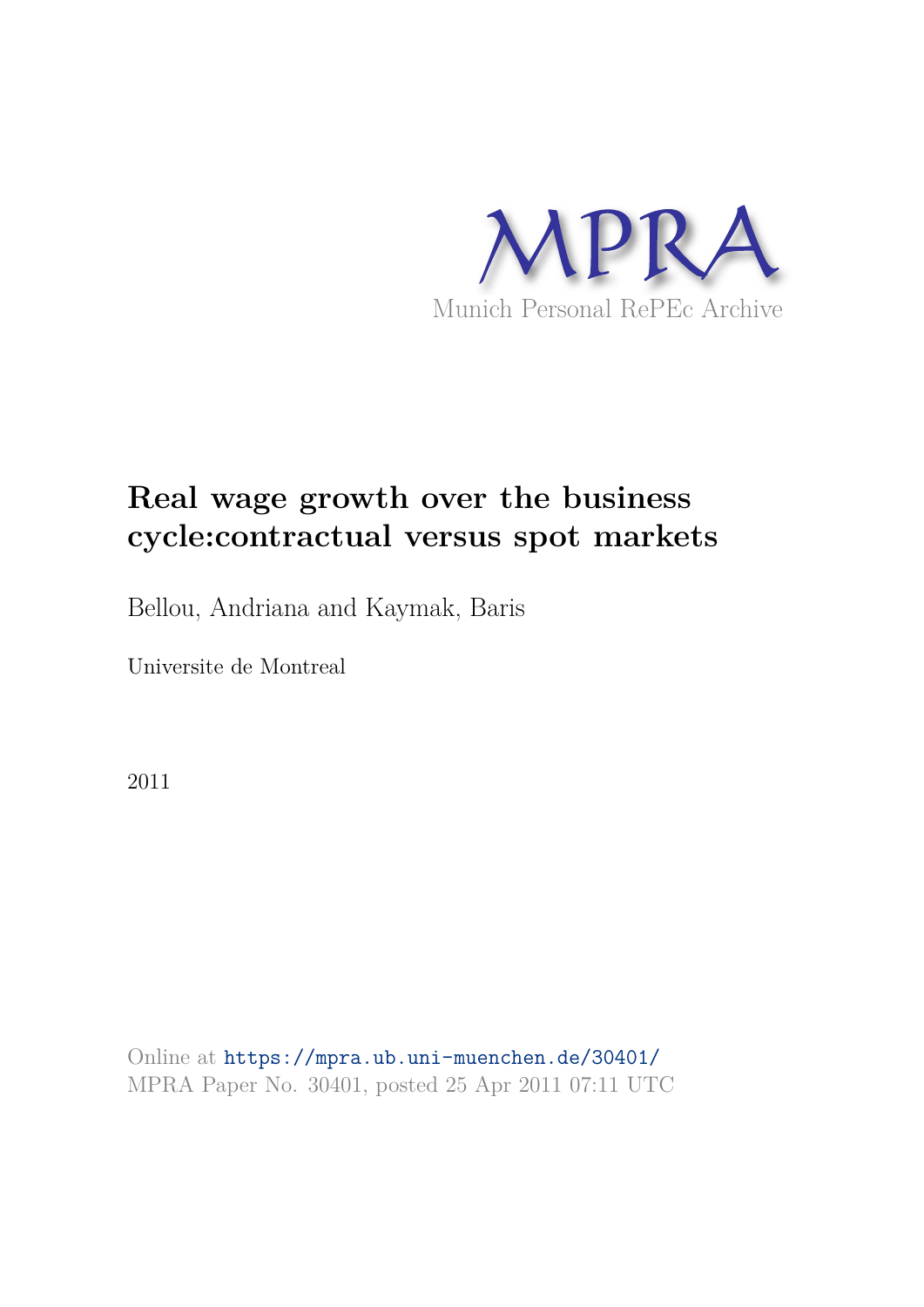

# **Real wage growth over the business cycle:contractual versus spot markets**

Bellou, Andriana and Kaymak, Baris

Universite de Montreal

2011

Online at https://mpra.ub.uni-muenchen.de/30401/ MPRA Paper No. 30401, posted 25 Apr 2011 07:11 UTC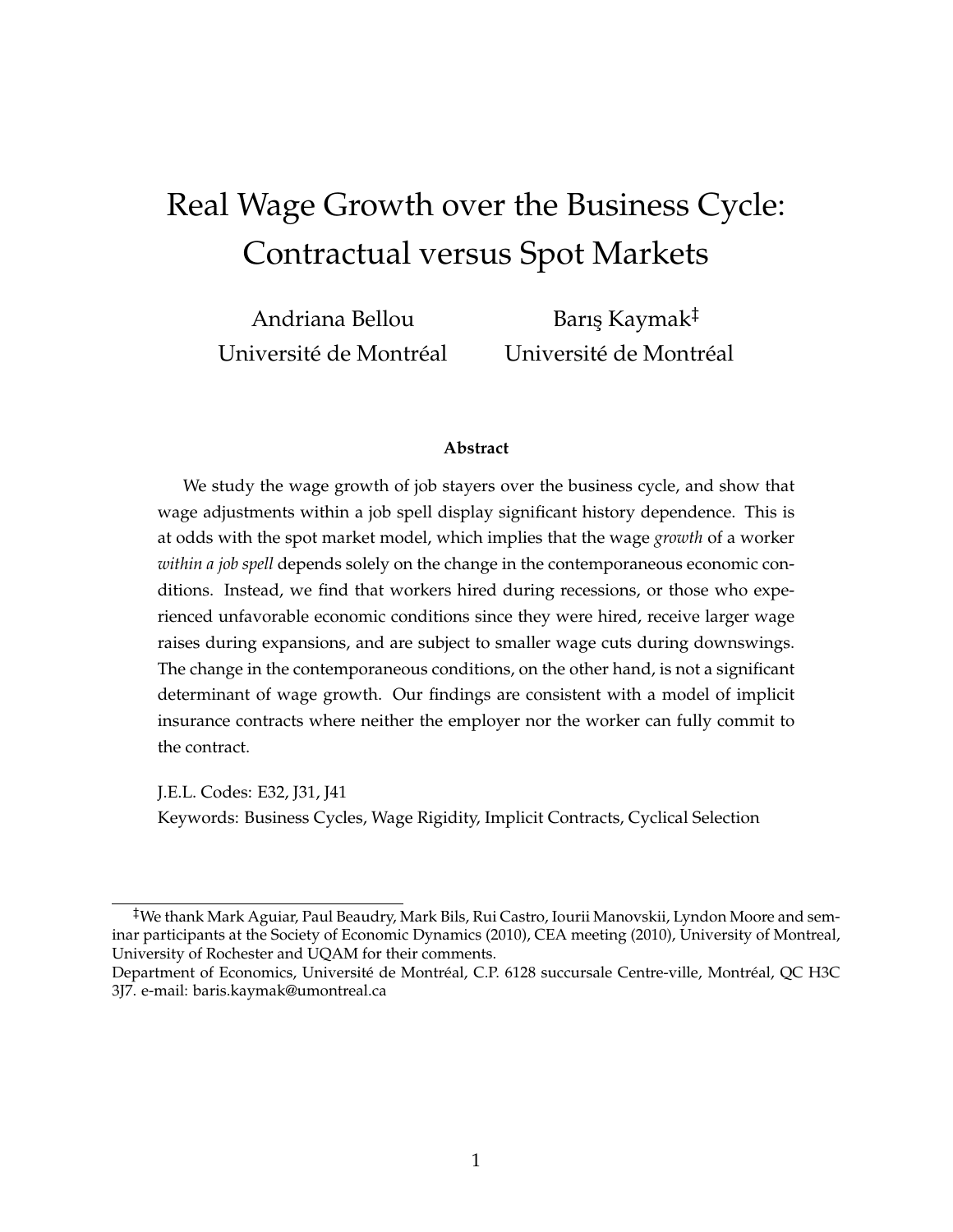# Real Wage Growth over the Business Cycle: Contractual versus Spot Markets

Andriana Bellou Université de Montréal Barış Kaymak<sup>‡</sup> Université de Montréal

#### **Abstract**

We study the wage growth of job stayers over the business cycle, and show that wage adjustments within a job spell display significant history dependence. This is at odds with the spot market model, which implies that the wage *growth* of a worker *within a job spell* depends solely on the change in the contemporaneous economic conditions. Instead, we find that workers hired during recessions, or those who experienced unfavorable economic conditions since they were hired, receive larger wage raises during expansions, and are subject to smaller wage cuts during downswings. The change in the contemporaneous conditions, on the other hand, is not a significant determinant of wage growth. Our findings are consistent with a model of implicit insurance contracts where neither the employer nor the worker can fully commit to the contract.

J.E.L. Codes: E32, J31, J41 Keywords: Business Cycles, Wage Rigidity, Implicit Contracts, Cyclical Selection

<sup>‡</sup>We thank Mark Aguiar, Paul Beaudry, Mark Bils, Rui Castro, Iourii Manovskii, Lyndon Moore and seminar participants at the Society of Economic Dynamics (2010), CEA meeting (2010), University of Montreal, University of Rochester and UQAM for their comments.

Department of Economics, Université de Montréal, C.P. 6128 succursale Centre-ville, Montréal, QC H3C 3J7. e-mail: baris.kaymak@umontreal.ca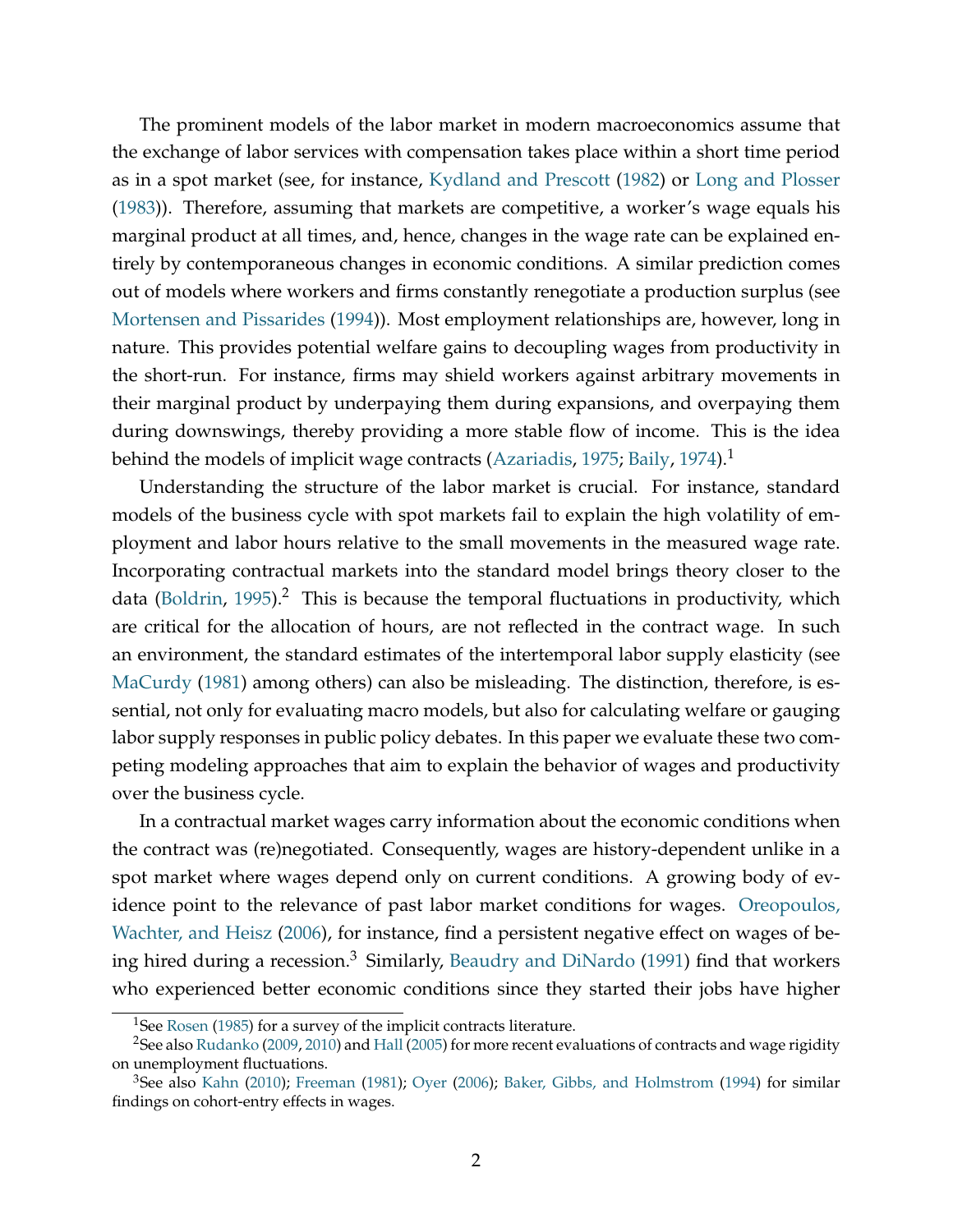The prominent models of the labor market in modern macroeconomics assume that the exchange of labor services with compensation takes place within a short time period as in a spot market (see, for instance, Kydland and Prescott (1982) or Long and Plosser (1983)). Therefore, assuming that markets are competitive, a worker's wage equals his marginal product at all times, and, hence, changes in the wage rate can be explained entirely by contemporaneous changes in economic conditions. A similar prediction comes out of models where workers and firms constantly renegotiate a production surplus (see Mortensen and Pissarides (1994)). Most employment relationships are, however, long in nature. This provides potential welfare gains to decoupling wages from productivity in the short-run. For instance, firms may shield workers against arbitrary movements in their marginal product by underpaying them during expansions, and overpaying them during downswings, thereby providing a more stable flow of income. This is the idea behind the models of implicit wage contracts (Azariadis, 1975; Baily, 1974).<sup>1</sup>

Understanding the structure of the labor market is crucial. For instance, standard models of the business cycle with spot markets fail to explain the high volatility of employment and labor hours relative to the small movements in the measured wage rate. Incorporating contractual markets into the standard model brings theory closer to the data (Boldrin, 1995).<sup>2</sup> This is because the temporal fluctuations in productivity, which are critical for the allocation of hours, are not reflected in the contract wage. In such an environment, the standard estimates of the intertemporal labor supply elasticity (see MaCurdy (1981) among others) can also be misleading. The distinction, therefore, is essential, not only for evaluating macro models, but also for calculating welfare or gauging labor supply responses in public policy debates. In this paper we evaluate these two competing modeling approaches that aim to explain the behavior of wages and productivity over the business cycle.

In a contractual market wages carry information about the economic conditions when the contract was (re)negotiated. Consequently, wages are history-dependent unlike in a spot market where wages depend only on current conditions. A growing body of evidence point to the relevance of past labor market conditions for wages. Oreopoulos, Wachter, and Heisz (2006), for instance, find a persistent negative effect on wages of being hired during a recession.<sup>3</sup> Similarly, Beaudry and DiNardo (1991) find that workers who experienced better economic conditions since they started their jobs have higher

<sup>&</sup>lt;sup>1</sup>See Rosen (1985) for a survey of the implicit contracts literature.

<sup>&</sup>lt;sup>2</sup>See also Rudanko (2009, 2010) and Hall (2005) for more recent evaluations of contracts and wage rigidity on unemployment fluctuations.

<sup>3</sup>See also Kahn (2010); Freeman (1981); Oyer (2006); Baker, Gibbs, and Holmstrom (1994) for similar findings on cohort-entry effects in wages.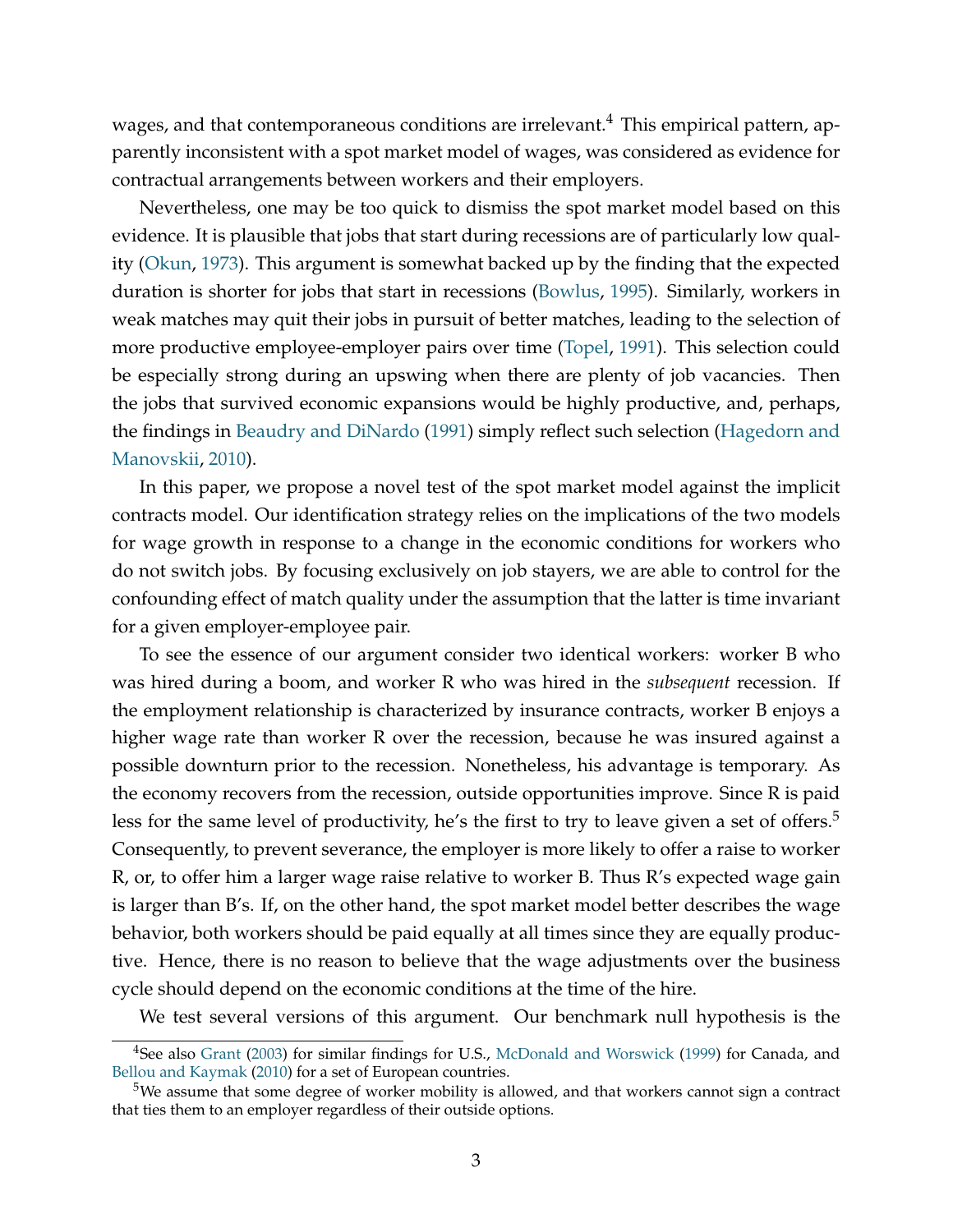wages, and that contemporaneous conditions are irrelevant.<sup>4</sup> This empirical pattern, apparently inconsistent with a spot market model of wages, was considered as evidence for contractual arrangements between workers and their employers.

Nevertheless, one may be too quick to dismiss the spot market model based on this evidence. It is plausible that jobs that start during recessions are of particularly low quality (Okun, 1973). This argument is somewhat backed up by the finding that the expected duration is shorter for jobs that start in recessions (Bowlus, 1995). Similarly, workers in weak matches may quit their jobs in pursuit of better matches, leading to the selection of more productive employee-employer pairs over time (Topel, 1991). This selection could be especially strong during an upswing when there are plenty of job vacancies. Then the jobs that survived economic expansions would be highly productive, and, perhaps, the findings in Beaudry and DiNardo (1991) simply reflect such selection (Hagedorn and Manovskii, 2010).

In this paper, we propose a novel test of the spot market model against the implicit contracts model. Our identification strategy relies on the implications of the two models for wage growth in response to a change in the economic conditions for workers who do not switch jobs. By focusing exclusively on job stayers, we are able to control for the confounding effect of match quality under the assumption that the latter is time invariant for a given employer-employee pair.

To see the essence of our argument consider two identical workers: worker B who was hired during a boom, and worker R who was hired in the *subsequent* recession. If the employment relationship is characterized by insurance contracts, worker B enjoys a higher wage rate than worker R over the recession, because he was insured against a possible downturn prior to the recession. Nonetheless, his advantage is temporary. As the economy recovers from the recession, outside opportunities improve. Since R is paid less for the same level of productivity, he's the first to try to leave given a set of offers.<sup>5</sup> Consequently, to prevent severance, the employer is more likely to offer a raise to worker R, or, to offer him a larger wage raise relative to worker B. Thus R's expected wage gain is larger than B's. If, on the other hand, the spot market model better describes the wage behavior, both workers should be paid equally at all times since they are equally productive. Hence, there is no reason to believe that the wage adjustments over the business cycle should depend on the economic conditions at the time of the hire.

We test several versions of this argument. Our benchmark null hypothesis is the

<sup>&</sup>lt;sup>4</sup>See also Grant (2003) for similar findings for U.S., McDonald and Worswick (1999) for Canada, and Bellou and Kaymak (2010) for a set of European countries.

 $5$ We assume that some degree of worker mobility is allowed, and that workers cannot sign a contract that ties them to an employer regardless of their outside options.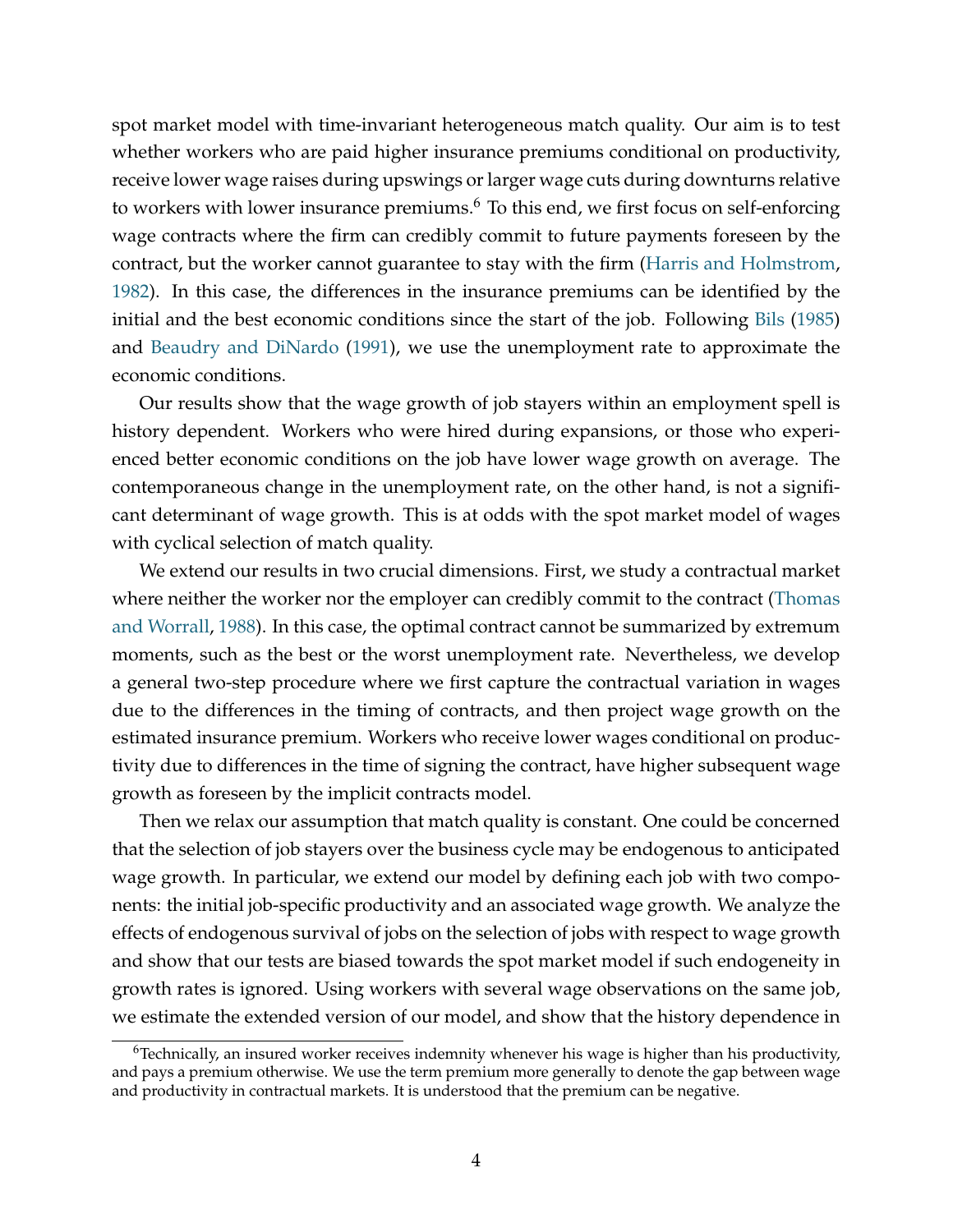spot market model with time-invariant heterogeneous match quality. Our aim is to test whether workers who are paid higher insurance premiums conditional on productivity, receive lower wage raises during upswings or larger wage cuts during downturns relative to workers with lower insurance premiums.<sup>6</sup> To this end, we first focus on self-enforcing wage contracts where the firm can credibly commit to future payments foreseen by the contract, but the worker cannot guarantee to stay with the firm (Harris and Holmstrom, 1982). In this case, the differences in the insurance premiums can be identified by the initial and the best economic conditions since the start of the job. Following Bils (1985) and Beaudry and DiNardo (1991), we use the unemployment rate to approximate the economic conditions.

Our results show that the wage growth of job stayers within an employment spell is history dependent. Workers who were hired during expansions, or those who experienced better economic conditions on the job have lower wage growth on average. The contemporaneous change in the unemployment rate, on the other hand, is not a significant determinant of wage growth. This is at odds with the spot market model of wages with cyclical selection of match quality.

We extend our results in two crucial dimensions. First, we study a contractual market where neither the worker nor the employer can credibly commit to the contract (Thomas and Worrall, 1988). In this case, the optimal contract cannot be summarized by extremum moments, such as the best or the worst unemployment rate. Nevertheless, we develop a general two-step procedure where we first capture the contractual variation in wages due to the differences in the timing of contracts, and then project wage growth on the estimated insurance premium. Workers who receive lower wages conditional on productivity due to differences in the time of signing the contract, have higher subsequent wage growth as foreseen by the implicit contracts model.

Then we relax our assumption that match quality is constant. One could be concerned that the selection of job stayers over the business cycle may be endogenous to anticipated wage growth. In particular, we extend our model by defining each job with two components: the initial job-specific productivity and an associated wage growth. We analyze the effects of endogenous survival of jobs on the selection of jobs with respect to wage growth and show that our tests are biased towards the spot market model if such endogeneity in growth rates is ignored. Using workers with several wage observations on the same job, we estimate the extended version of our model, and show that the history dependence in

 $6$ Technically, an insured worker receives indemnity whenever his wage is higher than his productivity, and pays a premium otherwise. We use the term premium more generally to denote the gap between wage and productivity in contractual markets. It is understood that the premium can be negative.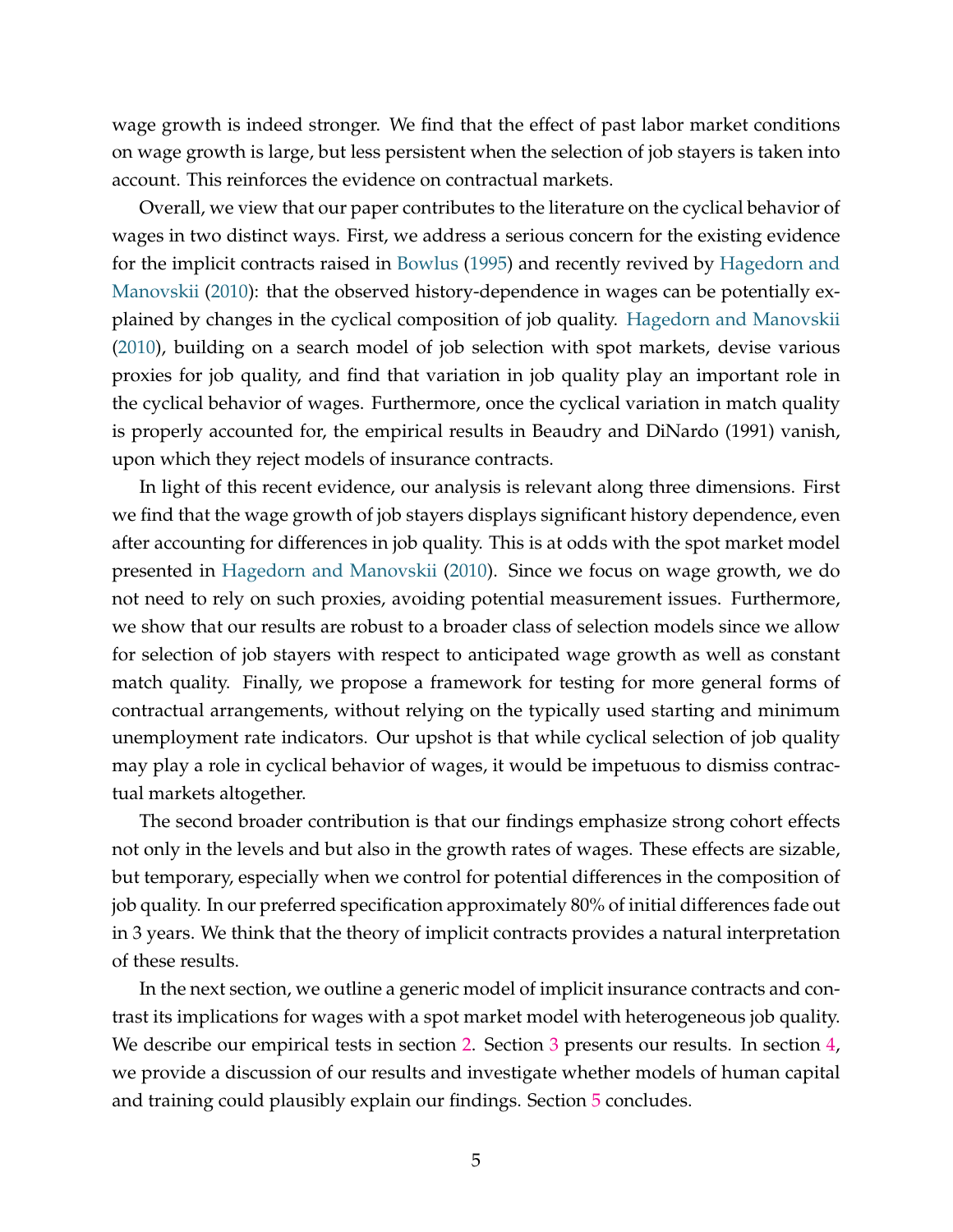wage growth is indeed stronger. We find that the effect of past labor market conditions on wage growth is large, but less persistent when the selection of job stayers is taken into account. This reinforces the evidence on contractual markets.

Overall, we view that our paper contributes to the literature on the cyclical behavior of wages in two distinct ways. First, we address a serious concern for the existing evidence for the implicit contracts raised in Bowlus (1995) and recently revived by Hagedorn and Manovskii (2010): that the observed history-dependence in wages can be potentially explained by changes in the cyclical composition of job quality. Hagedorn and Manovskii (2010), building on a search model of job selection with spot markets, devise various proxies for job quality, and find that variation in job quality play an important role in the cyclical behavior of wages. Furthermore, once the cyclical variation in match quality is properly accounted for, the empirical results in Beaudry and DiNardo (1991) vanish, upon which they reject models of insurance contracts.

In light of this recent evidence, our analysis is relevant along three dimensions. First we find that the wage growth of job stayers displays significant history dependence, even after accounting for differences in job quality. This is at odds with the spot market model presented in Hagedorn and Manovskii (2010). Since we focus on wage growth, we do not need to rely on such proxies, avoiding potential measurement issues. Furthermore, we show that our results are robust to a broader class of selection models since we allow for selection of job stayers with respect to anticipated wage growth as well as constant match quality. Finally, we propose a framework for testing for more general forms of contractual arrangements, without relying on the typically used starting and minimum unemployment rate indicators. Our upshot is that while cyclical selection of job quality may play a role in cyclical behavior of wages, it would be impetuous to dismiss contractual markets altogether.

The second broader contribution is that our findings emphasize strong cohort effects not only in the levels and but also in the growth rates of wages. These effects are sizable, but temporary, especially when we control for potential differences in the composition of job quality. In our preferred specification approximately 80% of initial differences fade out in 3 years. We think that the theory of implicit contracts provides a natural interpretation of these results.

In the next section, we outline a generic model of implicit insurance contracts and contrast its implications for wages with a spot market model with heterogeneous job quality. We describe our empirical tests in section 2. Section 3 presents our results. In section 4, we provide a discussion of our results and investigate whether models of human capital and training could plausibly explain our findings. Section 5 concludes.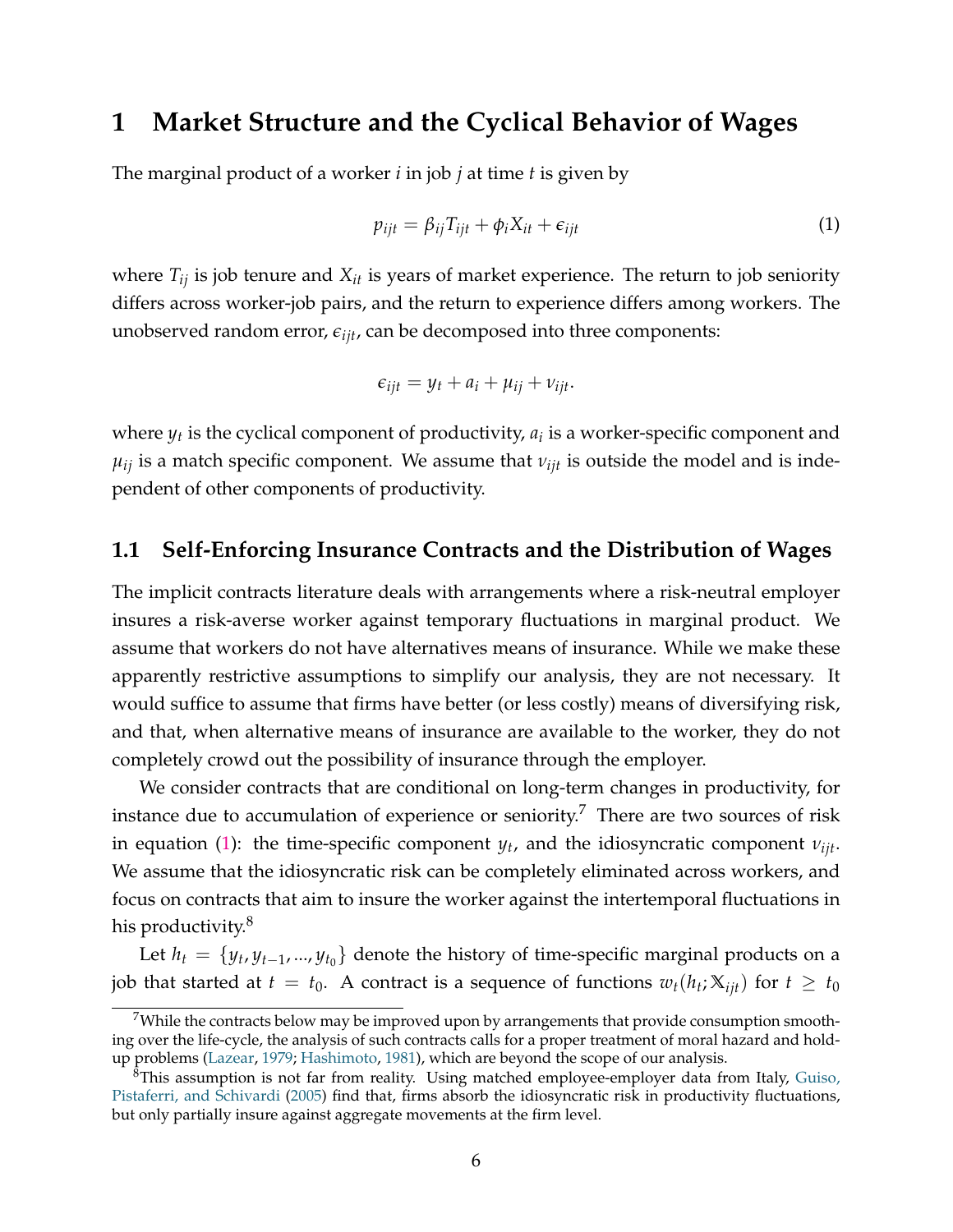## **1 Market Structure and the Cyclical Behavior of Wages**

The marginal product of a worker *i* in job *j* at time *t* is given by

$$
p_{ijt} = \beta_{ij} T_{ijt} + \phi_i X_{it} + \epsilon_{ijt}
$$
 (1)

where  $T_{ij}$  is job tenure and  $X_{it}$  is years of market experience. The return to job seniority differs across worker-job pairs, and the return to experience differs among workers. The unobserved random error,  $\epsilon_{iit}$ , can be decomposed into three components:

$$
\epsilon_{ijt} = y_t + a_i + \mu_{ij} + \nu_{ijt}.
$$

where  $y_t$  is the cyclical component of productivity,  $a_i$  is a worker-specific component and  $\mu_{ij}$  is a match specific component. We assume that  $\nu_{ijt}$  is outside the model and is independent of other components of productivity.

### **1.1 Self-Enforcing Insurance Contracts and the Distribution of Wages**

The implicit contracts literature deals with arrangements where a risk-neutral employer insures a risk-averse worker against temporary fluctuations in marginal product. We assume that workers do not have alternatives means of insurance. While we make these apparently restrictive assumptions to simplify our analysis, they are not necessary. It would suffice to assume that firms have better (or less costly) means of diversifying risk, and that, when alternative means of insurance are available to the worker, they do not completely crowd out the possibility of insurance through the employer.

We consider contracts that are conditional on long-term changes in productivity, for instance due to accumulation of experience or seniority.<sup>7</sup> There are two sources of risk in equation (1): the time-specific component *y<sup>t</sup>* , and the idiosyncratic component *νijt*. We assume that the idiosyncratic risk can be completely eliminated across workers, and focus on contracts that aim to insure the worker against the intertemporal fluctuations in his productivity.<sup>8</sup>

Let  $h_t = \{y_t, y_{t-1}, ..., y_{t_0}\}$  denote the history of time-specific marginal products on a job that started at  $t = t_0$ . A contract is a sequence of functions  $w_t(h_t; \mathbb{X}_{ijt})$  for  $t \geq t_0$ 

<sup>7</sup>While the contracts below may be improved upon by arrangements that provide consumption smoothing over the life-cycle, the analysis of such contracts calls for a proper treatment of moral hazard and holdup problems (Lazear, 1979; Hashimoto, 1981), which are beyond the scope of our analysis.

 $8$ This assumption is not far from reality. Using matched employee-employer data from Italy, Guiso, Pistaferri, and Schivardi (2005) find that, firms absorb the idiosyncratic risk in productivity fluctuations, but only partially insure against aggregate movements at the firm level.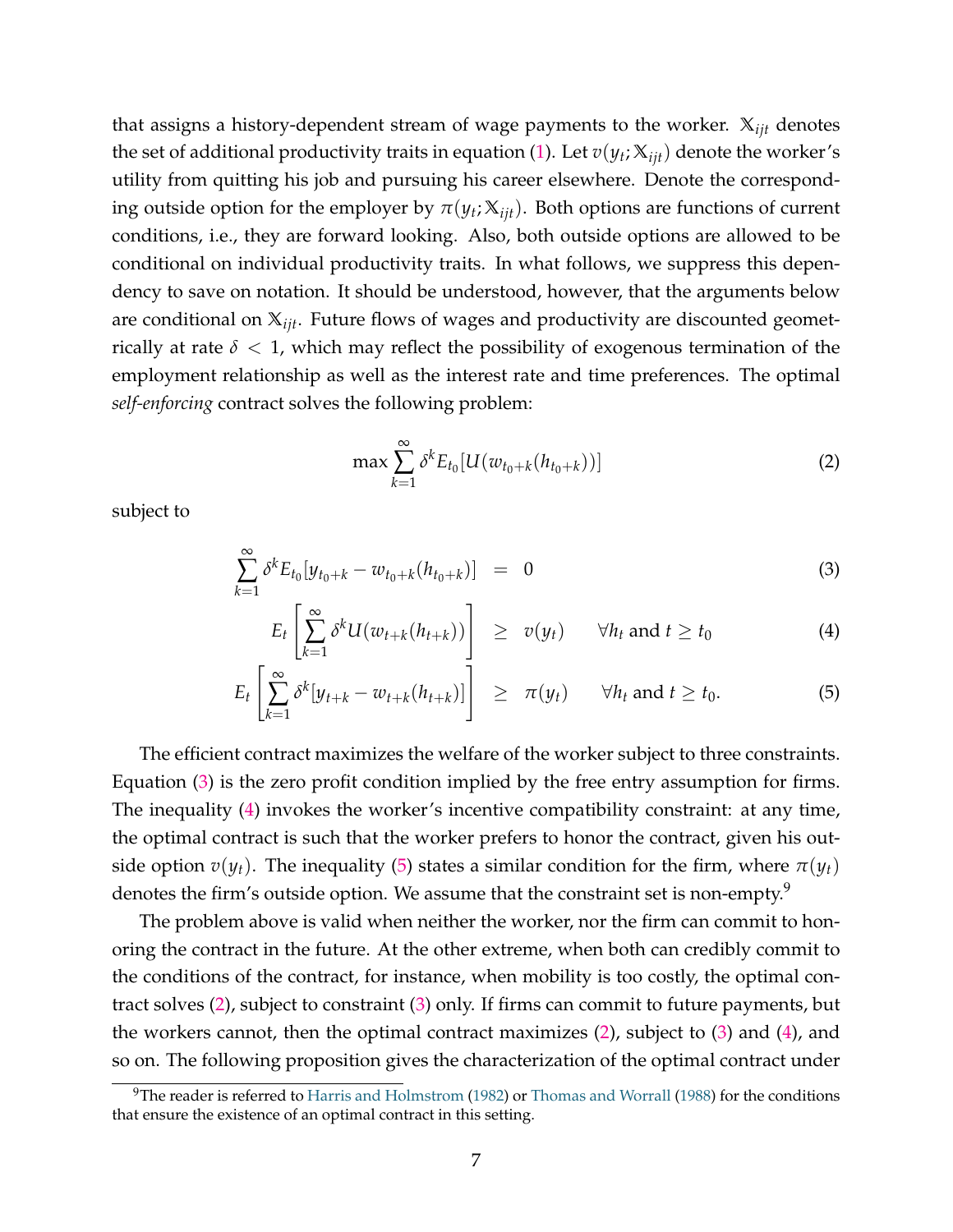that assigns a history-dependent stream of wage payments to the worker. **X***ijt* denotes the set of additional productivity traits in equation (1). Let  $v(y_t; \mathbb{X}_{ijt})$  denote the worker's utility from quitting his job and pursuing his career elsewhere. Denote the corresponding outside option for the employer by  $\pi(y_t; \mathbb{X}_{ijt})$ . Both options are functions of current conditions, i.e., they are forward looking. Also, both outside options are allowed to be conditional on individual productivity traits. In what follows, we suppress this dependency to save on notation. It should be understood, however, that the arguments below are conditional on **X***ijt*. Future flows of wages and productivity are discounted geometrically at rate  $\delta$  < 1, which may reflect the possibility of exogenous termination of the employment relationship as well as the interest rate and time preferences. The optimal *self-enforcing* contract solves the following problem:

$$
\max \sum_{k=1}^{\infty} \delta^k E_{t_0}[U(w_{t_0+k}(h_{t_0+k}))]
$$
\n(2)

subject to

$$
\sum_{k=1}^{\infty} \delta^k E_{t_0} [y_{t_0+k} - w_{t_0+k}(h_{t_0+k})] = 0 \tag{3}
$$

$$
E_t\left[\sum_{k=1}^{\infty} \delta^k U(w_{t+k}(h_{t+k}))\right] \ge v(y_t) \quad \forall h_t \text{ and } t \ge t_0
$$
 (4)

$$
E_t\left[\sum_{k=1}^{\infty} \delta^k[y_{t+k} - w_{t+k}(h_{t+k})]\right] \geq \pi(y_t) \quad \forall h_t \text{ and } t \geq t_0.
$$
 (5)

The efficient contract maximizes the welfare of the worker subject to three constraints. Equation (3) is the zero profit condition implied by the free entry assumption for firms. The inequality (4) invokes the worker's incentive compatibility constraint: at any time, the optimal contract is such that the worker prefers to honor the contract, given his outside option  $v(y_t)$ . The inequality (5) states a similar condition for the firm, where  $\pi(y_t)$ denotes the firm's outside option. We assume that the constraint set is non-empty.<sup>9</sup>

The problem above is valid when neither the worker, nor the firm can commit to honoring the contract in the future. At the other extreme, when both can credibly commit to the conditions of the contract, for instance, when mobility is too costly, the optimal contract solves (2), subject to constraint (3) only. If firms can commit to future payments, but the workers cannot, then the optimal contract maximizes  $(2)$ , subject to  $(3)$  and  $(4)$ , and so on. The following proposition gives the characterization of the optimal contract under

 $9$ The reader is referred to Harris and Holmstrom (1982) or Thomas and Worrall (1988) for the conditions that ensure the existence of an optimal contract in this setting.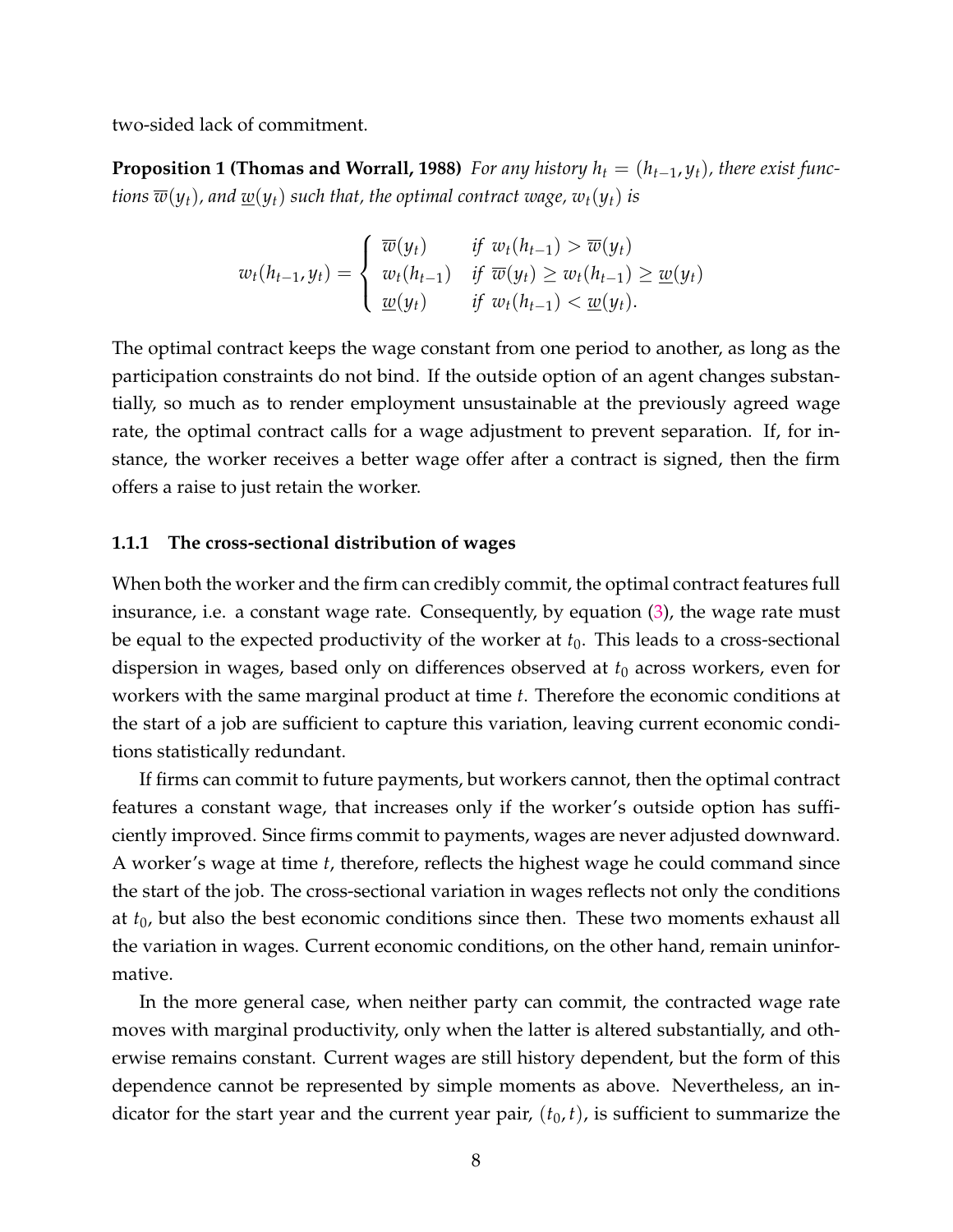two-sided lack of commitment.

**Proposition 1 (Thomas and Worrall, 1988)** *For any history*  $h_t = (h_{t-1}, y_t)$ , there exist func*tions*  $\overline{w}(y_t)$ , and  $\underline{w}(y_t)$  *such that, the optimal contract wage,*  $w_t(y_t)$  *is* 

$$
w_t(h_{t-1}, y_t) = \begin{cases} \overline{w}(y_t) & \text{if } w_t(h_{t-1}) > \overline{w}(y_t) \\ w_t(h_{t-1}) & \text{if } \overline{w}(y_t) \ge w_t(h_{t-1}) \ge \underline{w}(y_t) \\ \underline{w}(y_t) & \text{if } w_t(h_{t-1}) < \underline{w}(y_t). \end{cases}
$$

The optimal contract keeps the wage constant from one period to another, as long as the participation constraints do not bind. If the outside option of an agent changes substantially, so much as to render employment unsustainable at the previously agreed wage rate, the optimal contract calls for a wage adjustment to prevent separation. If, for instance, the worker receives a better wage offer after a contract is signed, then the firm offers a raise to just retain the worker.

#### **1.1.1 The cross-sectional distribution of wages**

When both the worker and the firm can credibly commit, the optimal contract features full insurance, i.e. a constant wage rate. Consequently, by equation (3), the wage rate must be equal to the expected productivity of the worker at  $t_0$ . This leads to a cross-sectional dispersion in wages, based only on differences observed at *t*<sup>0</sup> across workers, even for workers with the same marginal product at time *t*. Therefore the economic conditions at the start of a job are sufficient to capture this variation, leaving current economic conditions statistically redundant.

If firms can commit to future payments, but workers cannot, then the optimal contract features a constant wage, that increases only if the worker's outside option has sufficiently improved. Since firms commit to payments, wages are never adjusted downward. A worker's wage at time *t*, therefore, reflects the highest wage he could command since the start of the job. The cross-sectional variation in wages reflects not only the conditions at *t*0, but also the best economic conditions since then. These two moments exhaust all the variation in wages. Current economic conditions, on the other hand, remain uninformative.

In the more general case, when neither party can commit, the contracted wage rate moves with marginal productivity, only when the latter is altered substantially, and otherwise remains constant. Current wages are still history dependent, but the form of this dependence cannot be represented by simple moments as above. Nevertheless, an indicator for the start year and the current year pair,  $(t_0, t)$ , is sufficient to summarize the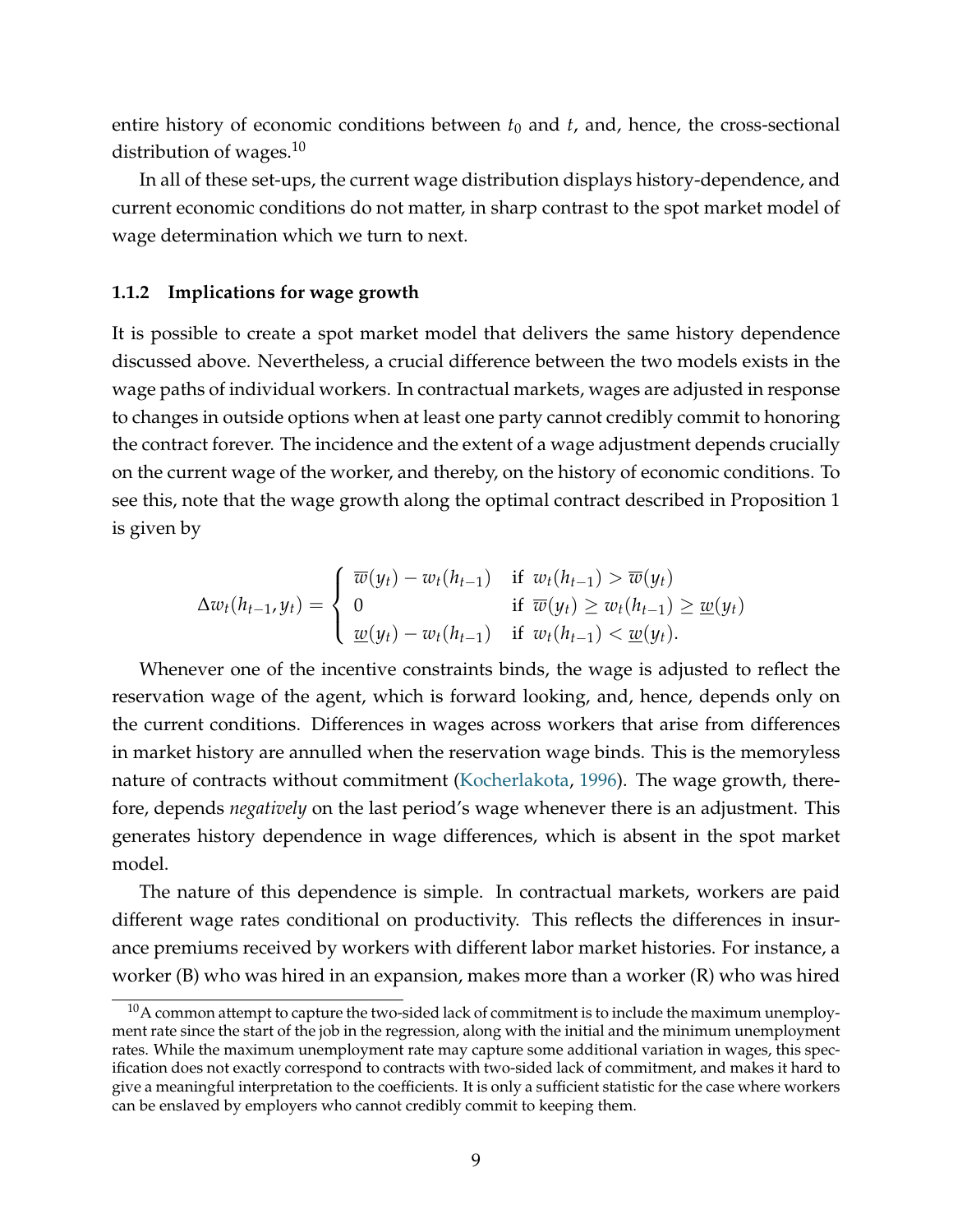entire history of economic conditions between  $t_0$  and  $t$ , and, hence, the cross-sectional distribution of wages. $10$ 

In all of these set-ups, the current wage distribution displays history-dependence, and current economic conditions do not matter, in sharp contrast to the spot market model of wage determination which we turn to next.

#### **1.1.2 Implications for wage growth**

It is possible to create a spot market model that delivers the same history dependence discussed above. Nevertheless, a crucial difference between the two models exists in the wage paths of individual workers. In contractual markets, wages are adjusted in response to changes in outside options when at least one party cannot credibly commit to honoring the contract forever. The incidence and the extent of a wage adjustment depends crucially on the current wage of the worker, and thereby, on the history of economic conditions. To see this, note that the wage growth along the optimal contract described in Proposition 1 is given by

$$
\Delta w_t(h_{t-1}, y_t) = \begin{cases} \overline{w}(y_t) - w_t(h_{t-1}) & \text{if } w_t(h_{t-1}) > \overline{w}(y_t) \\ 0 & \text{if } \overline{w}(y_t) \ge w_t(h_{t-1}) \ge \underline{w}(y_t) \\ \underline{w}(y_t) - w_t(h_{t-1}) & \text{if } w_t(h_{t-1}) < \underline{w}(y_t). \end{cases}
$$

Whenever one of the incentive constraints binds, the wage is adjusted to reflect the reservation wage of the agent, which is forward looking, and, hence, depends only on the current conditions. Differences in wages across workers that arise from differences in market history are annulled when the reservation wage binds. This is the memoryless nature of contracts without commitment (Kocherlakota, 1996). The wage growth, therefore, depends *negatively* on the last period's wage whenever there is an adjustment. This generates history dependence in wage differences, which is absent in the spot market model.

The nature of this dependence is simple. In contractual markets, workers are paid different wage rates conditional on productivity. This reflects the differences in insurance premiums received by workers with different labor market histories. For instance, a worker (B) who was hired in an expansion, makes more than a worker (R) who was hired

 $10A$  common attempt to capture the two-sided lack of commitment is to include the maximum unemployment rate since the start of the job in the regression, along with the initial and the minimum unemployment rates. While the maximum unemployment rate may capture some additional variation in wages, this specification does not exactly correspond to contracts with two-sided lack of commitment, and makes it hard to give a meaningful interpretation to the coefficients. It is only a sufficient statistic for the case where workers can be enslaved by employers who cannot credibly commit to keeping them.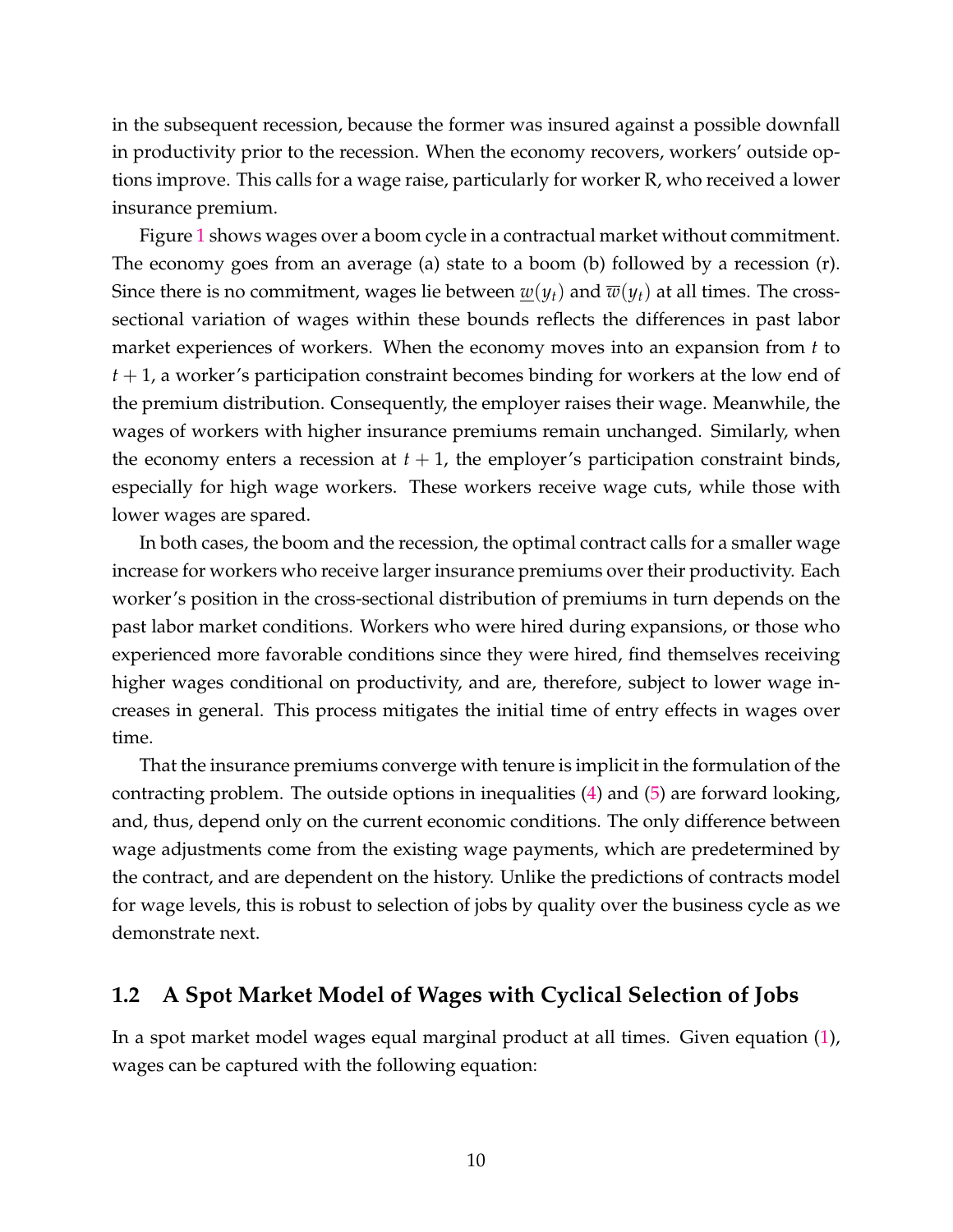in the subsequent recession, because the former was insured against a possible downfall in productivity prior to the recession. When the economy recovers, workers' outside options improve. This calls for a wage raise, particularly for worker R, who received a lower insurance premium.

Figure 1 shows wages over a boom cycle in a contractual market without commitment. The economy goes from an average (a) state to a boom (b) followed by a recession (r). Since there is no commitment, wages lie between  $w(y_t)$  and  $\overline{w}(y_t)$  at all times. The crosssectional variation of wages within these bounds reflects the differences in past labor market experiences of workers. When the economy moves into an expansion from *t* to *t* + 1, a worker's participation constraint becomes binding for workers at the low end of the premium distribution. Consequently, the employer raises their wage. Meanwhile, the wages of workers with higher insurance premiums remain unchanged. Similarly, when the economy enters a recession at  $t + 1$ , the employer's participation constraint binds, especially for high wage workers. These workers receive wage cuts, while those with lower wages are spared.

In both cases, the boom and the recession, the optimal contract calls for a smaller wage increase for workers who receive larger insurance premiums over their productivity. Each worker's position in the cross-sectional distribution of premiums in turn depends on the past labor market conditions. Workers who were hired during expansions, or those who experienced more favorable conditions since they were hired, find themselves receiving higher wages conditional on productivity, and are, therefore, subject to lower wage increases in general. This process mitigates the initial time of entry effects in wages over time.

That the insurance premiums converge with tenure is implicit in the formulation of the contracting problem. The outside options in inequalities (4) and (5) are forward looking, and, thus, depend only on the current economic conditions. The only difference between wage adjustments come from the existing wage payments, which are predetermined by the contract, and are dependent on the history. Unlike the predictions of contracts model for wage levels, this is robust to selection of jobs by quality over the business cycle as we demonstrate next.

## **1.2 A Spot Market Model of Wages with Cyclical Selection of Jobs**

In a spot market model wages equal marginal product at all times. Given equation (1), wages can be captured with the following equation: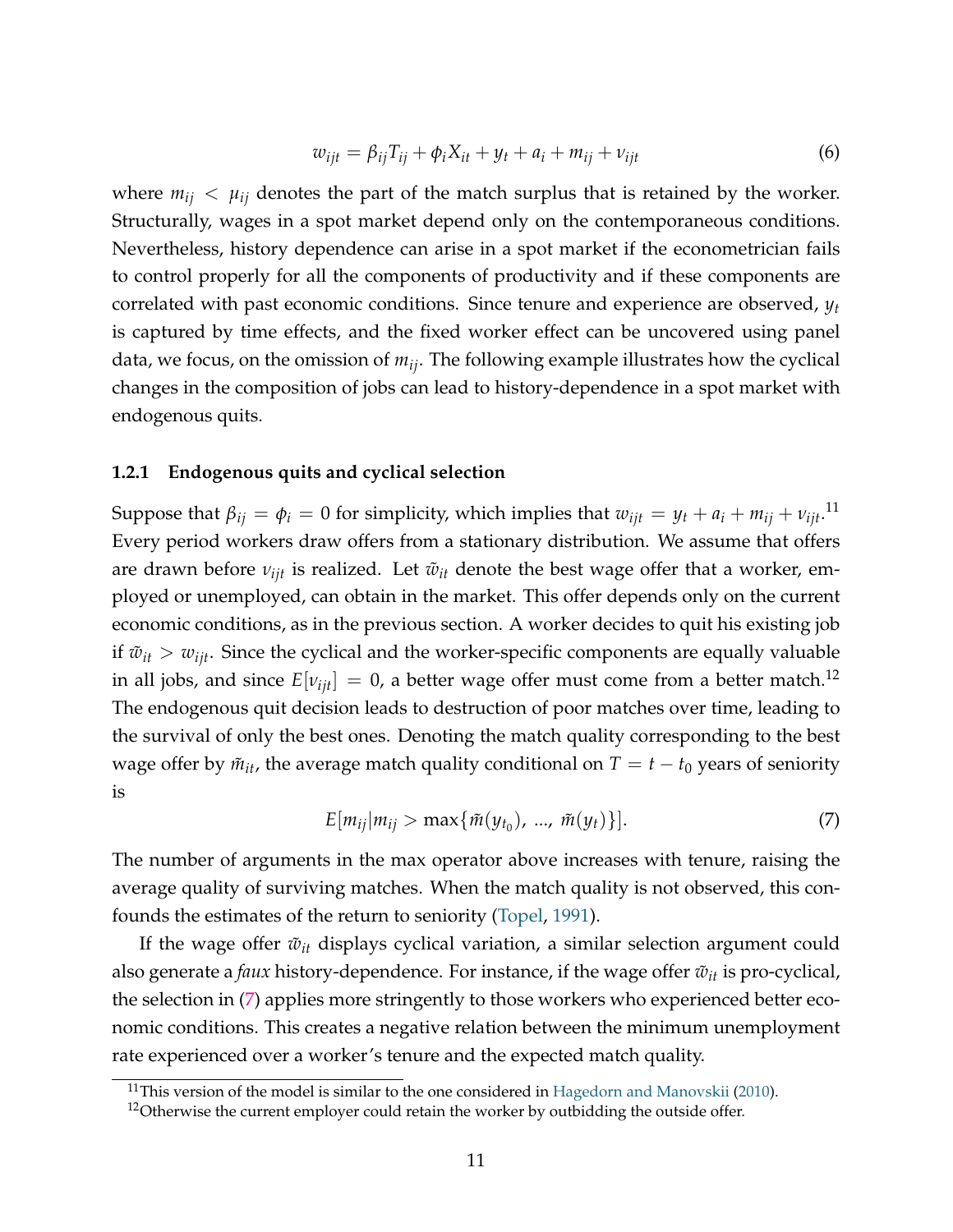$$
w_{ijt} = \beta_{ij} T_{ij} + \phi_i X_{it} + y_t + a_i + m_{ij} + \nu_{ijt}
$$
\n
$$
(6)
$$

where  $m_{ij} < \mu_{ij}$  denotes the part of the match surplus that is retained by the worker. Structurally, wages in a spot market depend only on the contemporaneous conditions. Nevertheless, history dependence can arise in a spot market if the econometrician fails to control properly for all the components of productivity and if these components are correlated with past economic conditions. Since tenure and experience are observed, *y<sup>t</sup>* is captured by time effects, and the fixed worker effect can be uncovered using panel data, we focus, on the omission of *mij*. The following example illustrates how the cyclical changes in the composition of jobs can lead to history-dependence in a spot market with endogenous quits.

#### **1.2.1 Endogenous quits and cyclical selection**

Suppose that  $\beta_{ij} = \phi_i = 0$  for simplicity, which implies that  $w_{ijt} = y_t + a_i + m_{ij} + v_{ijt}.$ <sup>11</sup> Every period workers draw offers from a stationary distribution. We assume that offers are drawn before  $ν_{ijt}$  is realized. Let  $\tilde{w}_{it}$  denote the best wage offer that a worker, employed or unemployed, can obtain in the market. This offer depends only on the current economic conditions, as in the previous section. A worker decides to quit his existing job if  $\tilde{w}_{it} > w_{iit}$ . Since the cyclical and the worker-specific components are equally valuable in all jobs, and since  $E[v_{ijt}] = 0$ , a better wage offer must come from a better match.<sup>12</sup> The endogenous quit decision leads to destruction of poor matches over time, leading to the survival of only the best ones. Denoting the match quality corresponding to the best wage offer by  $\tilde{m}_{it}$ , the average match quality conditional on  $T = t - t_0$  years of seniority is

$$
E[m_{ij}|m_{ij} > \max{\{\tilde{m}(y_{t_0}), ..., \tilde{m}(y_t)\}}].
$$
\n(7)

The number of arguments in the max operator above increases with tenure, raising the average quality of surviving matches. When the match quality is not observed, this confounds the estimates of the return to seniority (Topel, 1991).

If the wage offer  $\tilde{w}_{it}$  displays cyclical variation, a similar selection argument could also generate a *faux* history-dependence. For instance, if the wage offer  $\tilde{w}_{it}$  is pro-cyclical, the selection in (7) applies more stringently to those workers who experienced better economic conditions. This creates a negative relation between the minimum unemployment rate experienced over a worker's tenure and the expected match quality.

<sup>&</sup>lt;sup>11</sup>This version of the model is similar to the one considered in Hagedorn and Manovskii (2010).

 $12$ Otherwise the current employer could retain the worker by outbidding the outside offer.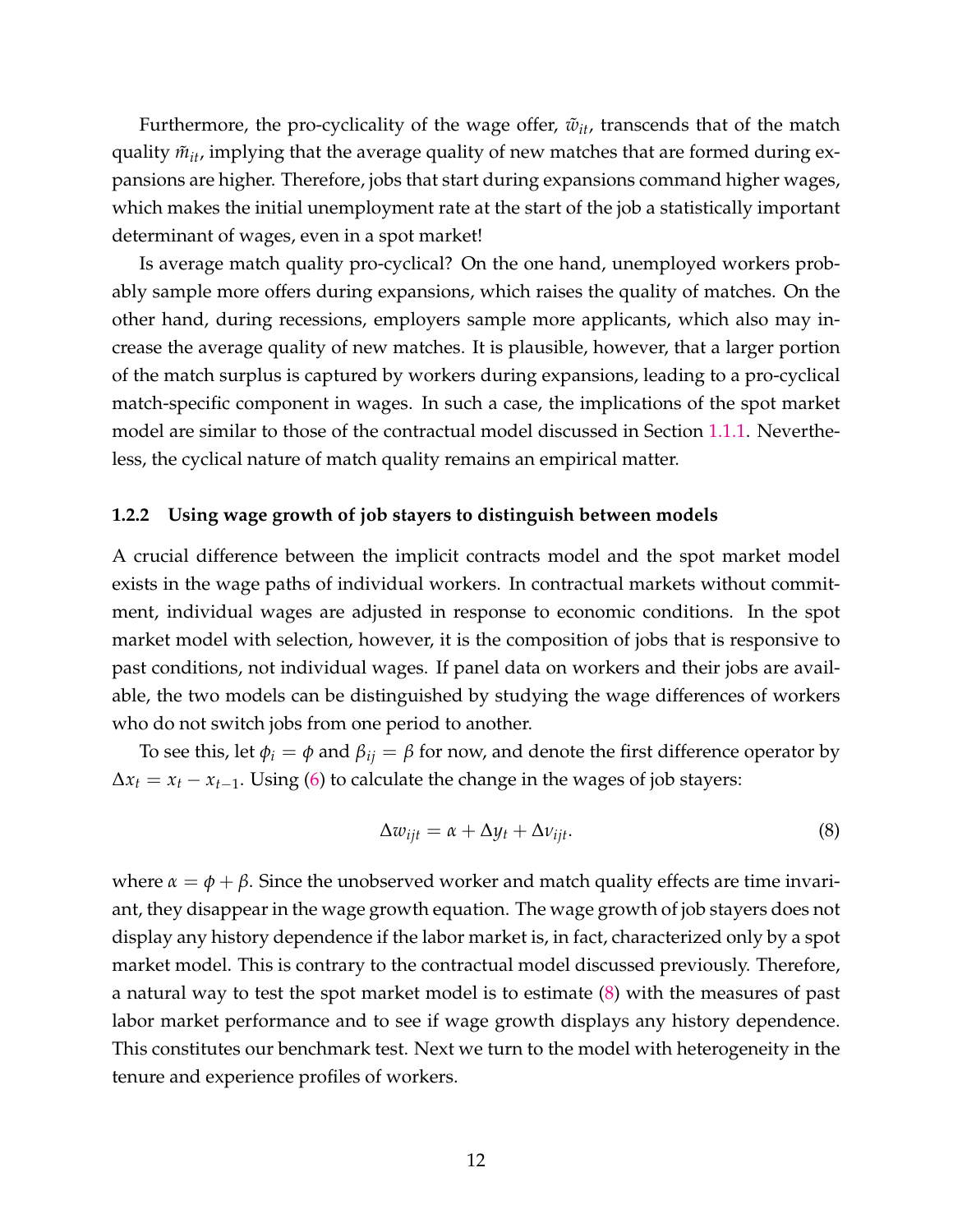Furthermore, the pro-cyclicality of the wage offer,  $\tilde{w}_{it}$ , transcends that of the match quality  $\tilde{m}_{it}$ , implying that the average quality of new matches that are formed during expansions are higher. Therefore, jobs that start during expansions command higher wages, which makes the initial unemployment rate at the start of the job a statistically important determinant of wages, even in a spot market!

Is average match quality pro-cyclical? On the one hand, unemployed workers probably sample more offers during expansions, which raises the quality of matches. On the other hand, during recessions, employers sample more applicants, which also may increase the average quality of new matches. It is plausible, however, that a larger portion of the match surplus is captured by workers during expansions, leading to a pro-cyclical match-specific component in wages. In such a case, the implications of the spot market model are similar to those of the contractual model discussed in Section 1.1.1. Nevertheless, the cyclical nature of match quality remains an empirical matter.

#### **1.2.2 Using wage growth of job stayers to distinguish between models**

A crucial difference between the implicit contracts model and the spot market model exists in the wage paths of individual workers. In contractual markets without commitment, individual wages are adjusted in response to economic conditions. In the spot market model with selection, however, it is the composition of jobs that is responsive to past conditions, not individual wages. If panel data on workers and their jobs are available, the two models can be distinguished by studying the wage differences of workers who do not switch jobs from one period to another.

To see this, let  $\phi_i = \phi$  and  $\beta_{ij} = \beta$  for now, and denote the first difference operator by  $\Delta x_t = x_t - x_{t-1}$ . Using (6) to calculate the change in the wages of job stayers:

$$
\Delta w_{ijt} = \alpha + \Delta y_t + \Delta v_{ijt}.
$$
\n(8)

where  $\alpha = \phi + \beta$ . Since the unobserved worker and match quality effects are time invariant, they disappear in the wage growth equation. The wage growth of job stayers does not display any history dependence if the labor market is, in fact, characterized only by a spot market model. This is contrary to the contractual model discussed previously. Therefore, a natural way to test the spot market model is to estimate (8) with the measures of past labor market performance and to see if wage growth displays any history dependence. This constitutes our benchmark test. Next we turn to the model with heterogeneity in the tenure and experience profiles of workers.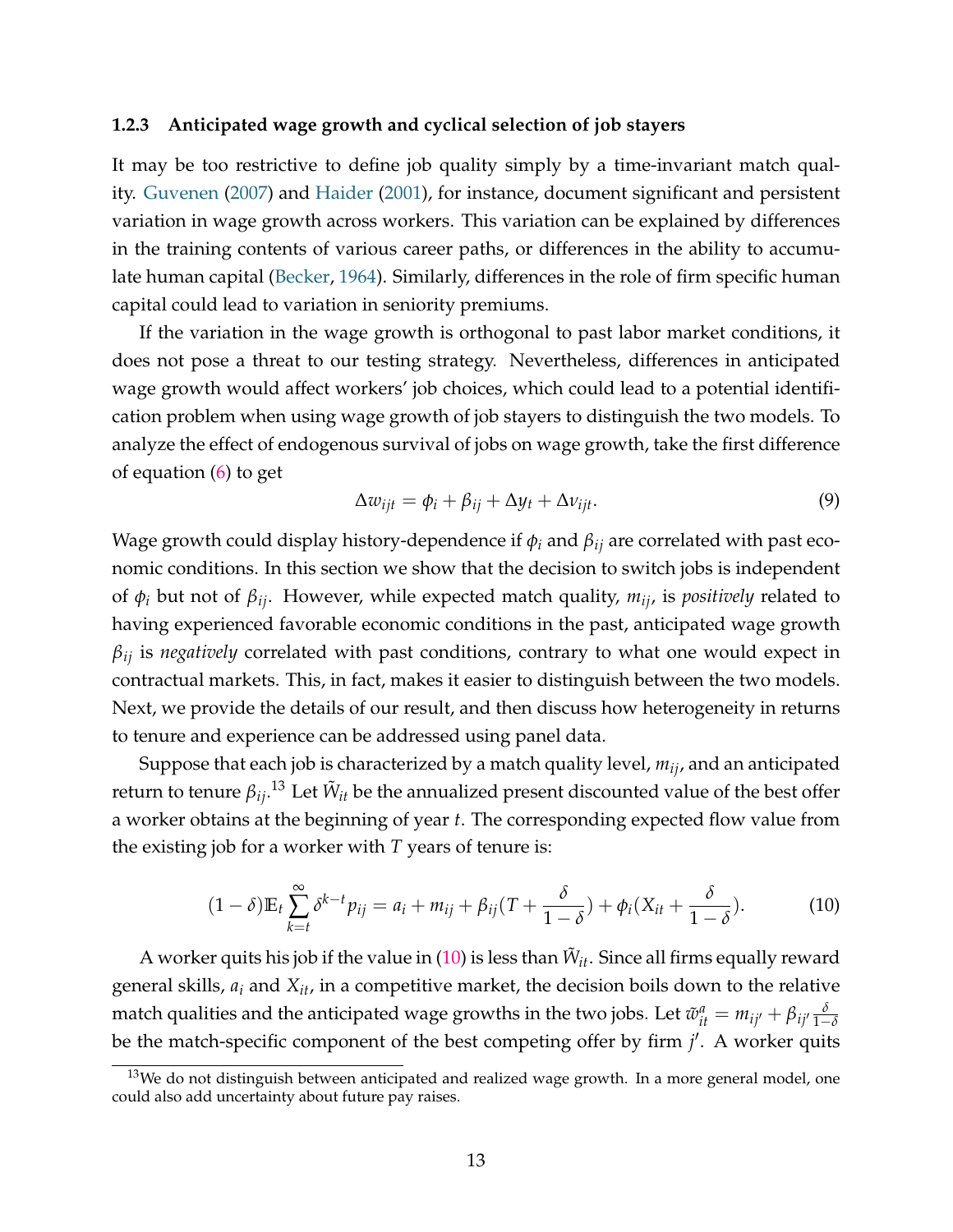#### **1.2.3 Anticipated wage growth and cyclical selection of job stayers**

It may be too restrictive to define job quality simply by a time-invariant match quality. Guvenen (2007) and Haider (2001), for instance, document significant and persistent variation in wage growth across workers. This variation can be explained by differences in the training contents of various career paths, or differences in the ability to accumulate human capital (Becker, 1964). Similarly, differences in the role of firm specific human capital could lead to variation in seniority premiums.

If the variation in the wage growth is orthogonal to past labor market conditions, it does not pose a threat to our testing strategy. Nevertheless, differences in anticipated wage growth would affect workers' job choices, which could lead to a potential identification problem when using wage growth of job stayers to distinguish the two models. To analyze the effect of endogenous survival of jobs on wage growth, take the first difference of equation (6) to get

$$
\Delta w_{ijt} = \phi_i + \beta_{ij} + \Delta y_t + \Delta v_{ijt}.
$$
\n(9)

Wage growth could display history-dependence if *φ<sup>i</sup>* and *βij* are correlated with past economic conditions. In this section we show that the decision to switch jobs is independent of *φ<sup>i</sup>* but not of *βij*. However, while expected match quality, *mij*, is *positively* related to having experienced favorable economic conditions in the past, anticipated wage growth *βij* is *negatively* correlated with past conditions, contrary to what one would expect in contractual markets. This, in fact, makes it easier to distinguish between the two models. Next, we provide the details of our result, and then discuss how heterogeneity in returns to tenure and experience can be addressed using panel data.

Suppose that each job is characterized by a match quality level, *mij*, and an anticipated return to tenure  $\beta_{ij}$ .<sup>13</sup> Let  $\tilde{W}_{it}$  be the annualized present discounted value of the best offer a worker obtains at the beginning of year *t*. The corresponding expected flow value from the existing job for a worker with *T* years of tenure is:

$$
(1-\delta)\mathbb{E}_t\sum_{k=t}^{\infty}\delta^{k-t}p_{ij}=a_i+m_{ij}+\beta_{ij}(T+\frac{\delta}{1-\delta})+\phi_i(X_{it}+\frac{\delta}{1-\delta}).
$$
 (10)

A worker quits his job if the value in  $(10)$  is less than  $\tilde{W}_{it}$ . Since all firms equally reward general skills, *a<sup>i</sup>* and *Xit*, in a competitive market, the decision boils down to the relative match qualities and the anticipated wage growths in the two jobs. Let  $\tilde{w}^a_{it} = m_{ij'} + \beta_{ij'} \frac{\delta}{1-2}$ 1−*δ* be the match-specific component of the best competing offer by firm *j'*. A worker quits

 $13$ We do not distinguish between anticipated and realized wage growth. In a more general model, one could also add uncertainty about future pay raises.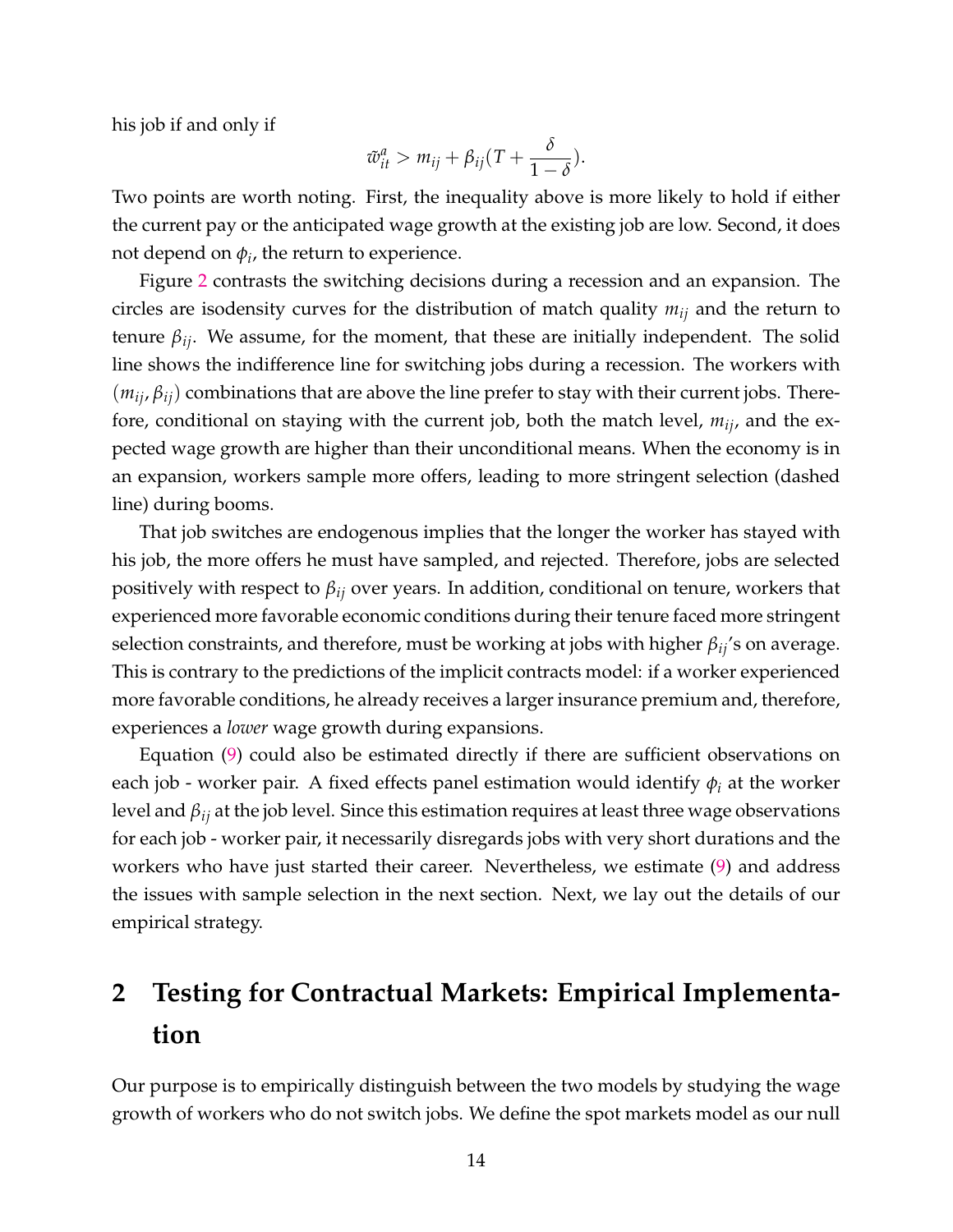his job if and only if

$$
\tilde{w}_{it}^a > m_{ij} + \beta_{ij}(T + \frac{\delta}{1 - \delta}).
$$

Two points are worth noting. First, the inequality above is more likely to hold if either the current pay or the anticipated wage growth at the existing job are low. Second, it does not depend on  $\phi_i$ , the return to experience.

Figure 2 contrasts the switching decisions during a recession and an expansion. The circles are isodensity curves for the distribution of match quality *mij* and the return to tenure  $β_{ij}$ . We assume, for the moment, that these are initially independent. The solid line shows the indifference line for switching jobs during a recession. The workers with  $(m_{ij}, \beta_{ij})$  combinations that are above the line prefer to stay with their current jobs. Therefore, conditional on staying with the current job, both the match level, *mij*, and the expected wage growth are higher than their unconditional means. When the economy is in an expansion, workers sample more offers, leading to more stringent selection (dashed line) during booms.

That job switches are endogenous implies that the longer the worker has stayed with his job, the more offers he must have sampled, and rejected. Therefore, jobs are selected positively with respect to *βij* over years. In addition, conditional on tenure, workers that experienced more favorable economic conditions during their tenure faced more stringent selection constraints, and therefore, must be working at jobs with higher *βij*'s on average. This is contrary to the predictions of the implicit contracts model: if a worker experienced more favorable conditions, he already receives a larger insurance premium and, therefore, experiences a *lower* wage growth during expansions.

Equation (9) could also be estimated directly if there are sufficient observations on each job - worker pair. A fixed effects panel estimation would identify *φ<sup>i</sup>* at the worker level and *βij* at the job level. Since this estimation requires at least three wage observations for each job - worker pair, it necessarily disregards jobs with very short durations and the workers who have just started their career. Nevertheless, we estimate (9) and address the issues with sample selection in the next section. Next, we lay out the details of our empirical strategy.

# **2 Testing for Contractual Markets: Empirical Implementation**

Our purpose is to empirically distinguish between the two models by studying the wage growth of workers who do not switch jobs. We define the spot markets model as our null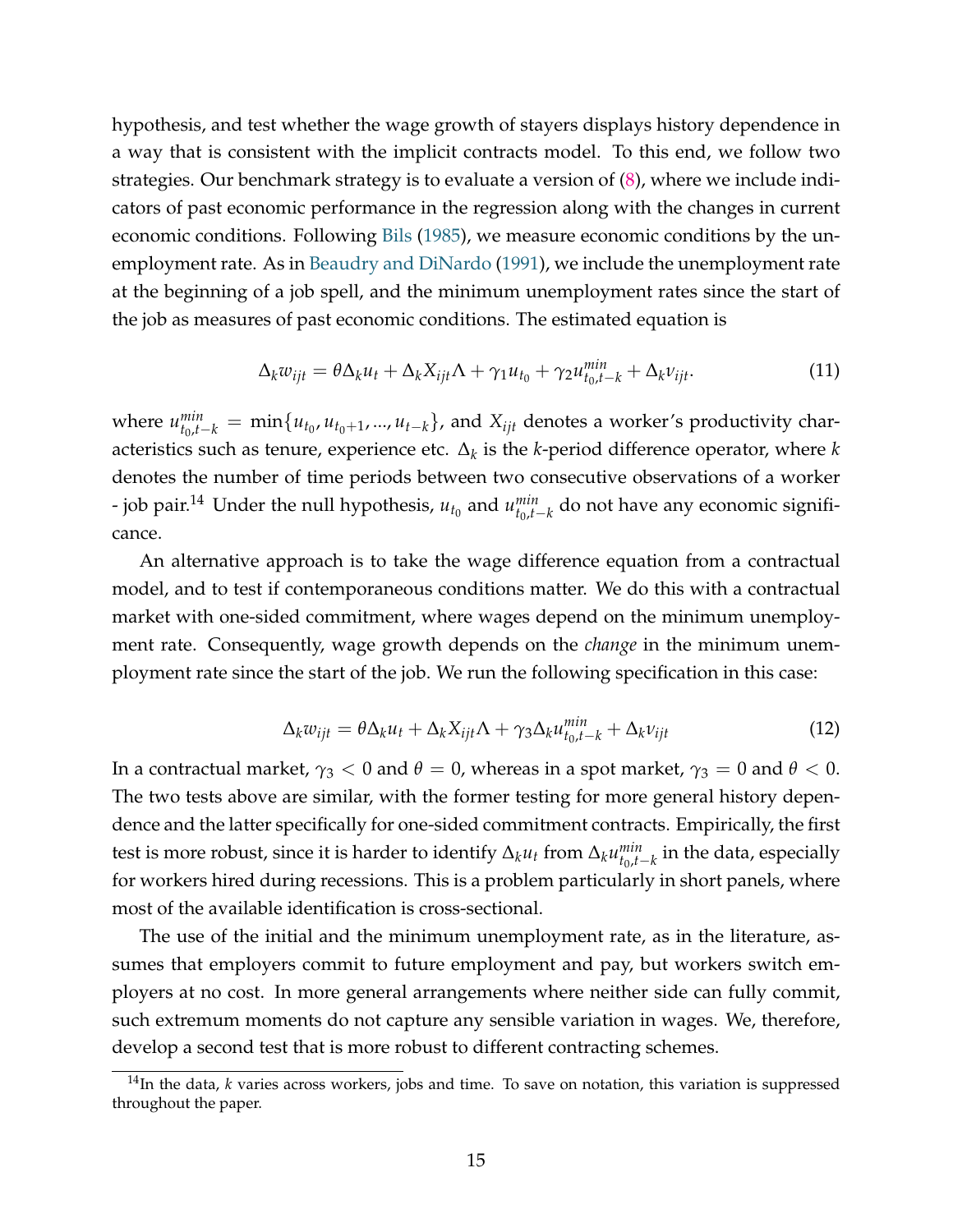hypothesis, and test whether the wage growth of stayers displays history dependence in a way that is consistent with the implicit contracts model. To this end, we follow two strategies. Our benchmark strategy is to evaluate a version of (8), where we include indicators of past economic performance in the regression along with the changes in current economic conditions. Following Bils (1985), we measure economic conditions by the unemployment rate. As in Beaudry and DiNardo (1991), we include the unemployment rate at the beginning of a job spell, and the minimum unemployment rates since the start of the job as measures of past economic conditions. The estimated equation is

$$
\Delta_k w_{ijt} = \theta \Delta_k u_t + \Delta_k X_{ijt} \Lambda + \gamma_1 u_{t_0} + \gamma_2 u_{t_0, t-k}^{min} + \Delta_k v_{ijt}.
$$
\n(11)

where  $u_{t_0,t-k}^{min} = \min\{u_{t_0}, u_{t_0+1}, ..., u_{t-k}\}$ , and  $X_{ijt}$  denotes a worker's productivity characteristics such as tenure, experience etc. ∆*<sup>k</sup>* is the *k*-period difference operator, where *k* denotes the number of time periods between two consecutive observations of a worker - job pair.<sup>14</sup> Under the null hypothesis,  $u_{t_0}$  and  $u_{t_0,t}^{min}$  $_{t_0,t−k}^{min}$  do not have any economic significance.

An alternative approach is to take the wage difference equation from a contractual model, and to test if contemporaneous conditions matter. We do this with a contractual market with one-sided commitment, where wages depend on the minimum unemployment rate. Consequently, wage growth depends on the *change* in the minimum unemployment rate since the start of the job. We run the following specification in this case:

$$
\Delta_k w_{ijt} = \theta \Delta_k u_t + \Delta_k X_{ijt} \Lambda + \gamma_3 \Delta_k u_{t_0, t-k}^{min} + \Delta_k v_{ijt}
$$
\n(12)

In a contractual market,  $γ_3 < 0$  and  $θ = 0$ , whereas in a spot market,  $γ_3 = 0$  and  $θ < 0$ . The two tests above are similar, with the former testing for more general history dependence and the latter specifically for one-sided commitment contracts. Empirically, the first test is more robust, since it is harder to identify  $\Delta_k u_t$  from  $\Delta_k u_{t_0,t}^{min}$  $\binom{min}{t_0,t-k}$  in the data, especially for workers hired during recessions. This is a problem particularly in short panels, where most of the available identification is cross-sectional.

The use of the initial and the minimum unemployment rate, as in the literature, assumes that employers commit to future employment and pay, but workers switch employers at no cost. In more general arrangements where neither side can fully commit, such extremum moments do not capture any sensible variation in wages. We, therefore, develop a second test that is more robust to different contracting schemes.

<sup>&</sup>lt;sup>14</sup>In the data, *k* varies across workers, jobs and time. To save on notation, this variation is suppressed throughout the paper.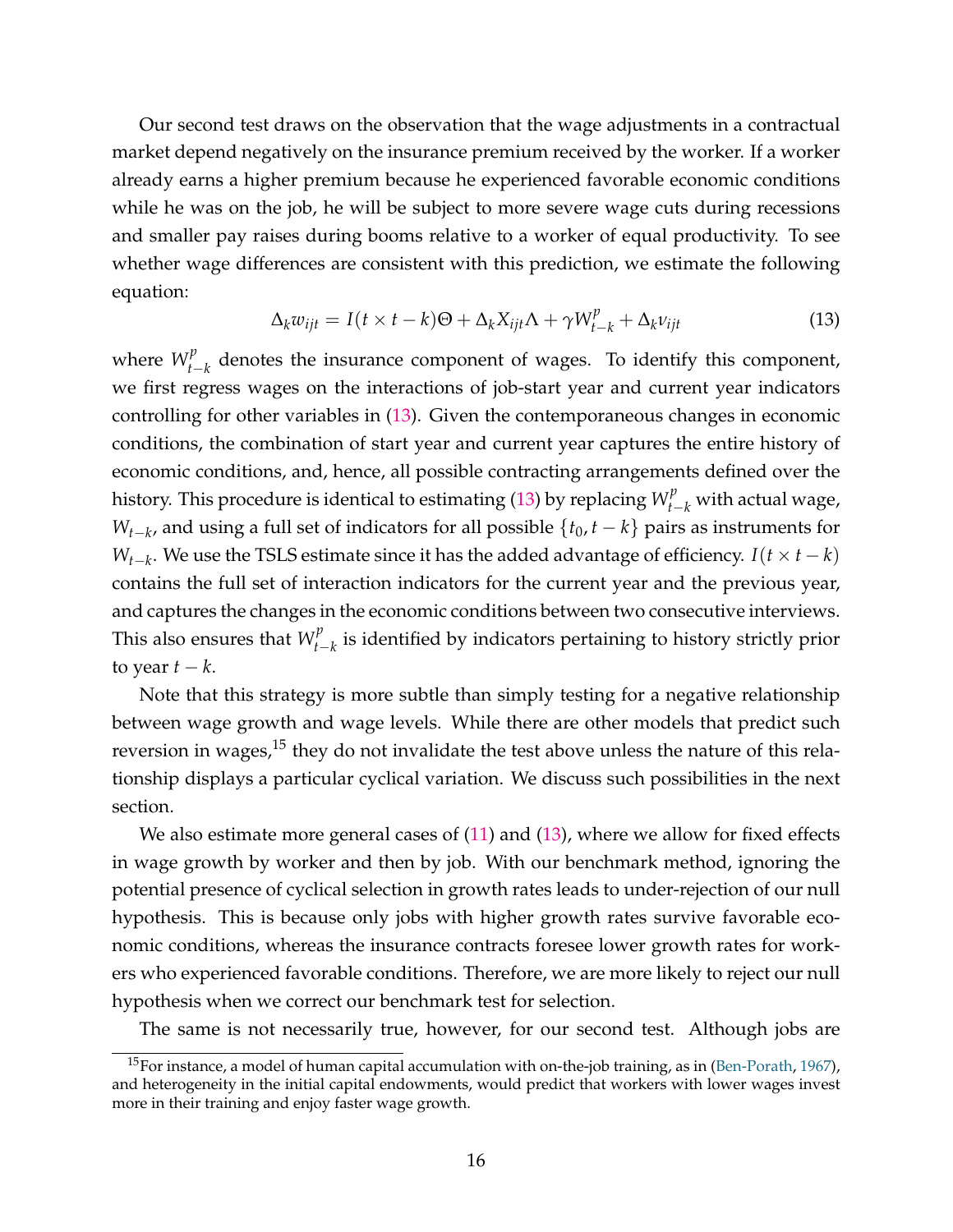Our second test draws on the observation that the wage adjustments in a contractual market depend negatively on the insurance premium received by the worker. If a worker already earns a higher premium because he experienced favorable economic conditions while he was on the job, he will be subject to more severe wage cuts during recessions and smaller pay raises during booms relative to a worker of equal productivity. To see whether wage differences are consistent with this prediction, we estimate the following equation:

$$
\Delta_k w_{ijt} = I(t \times t - k)\Theta + \Delta_k X_{ijt} \Lambda + \gamma W_{t-k}^p + \Delta_k v_{ijt}
$$
\n(13)

where  $W_{t-1}^p$ *t*−*k* denotes the insurance component of wages. To identify this component, we first regress wages on the interactions of job-start year and current year indicators controlling for other variables in (13). Given the contemporaneous changes in economic conditions, the combination of start year and current year captures the entire history of economic conditions, and, hence, all possible contracting arrangements defined over the history. This procedure is identical to estimating (13) by replacing  $W_{t-k}^p$  with actual wage, *W*<sub>*t*−*k*</sub>, and using a full set of indicators for all possible {*t*<sub>0</sub>, *t* − *k*} pairs as instruments for *W*<sub>*t*−*k*</sub>. We use the TSLS estimate since it has the added advantage of efficiency. *I*(*t* × *t* − *k*) contains the full set of interaction indicators for the current year and the previous year, and captures the changes in the economic conditions between two consecutive interviews. This also ensures that  $W_{t-1}^p$ *t*−*k* is identified by indicators pertaining to history strictly prior to year  $t - k$ .

Note that this strategy is more subtle than simply testing for a negative relationship between wage growth and wage levels. While there are other models that predict such reversion in wages, $15$  they do not invalidate the test above unless the nature of this relationship displays a particular cyclical variation. We discuss such possibilities in the next section.

We also estimate more general cases of  $(11)$  and  $(13)$ , where we allow for fixed effects in wage growth by worker and then by job. With our benchmark method, ignoring the potential presence of cyclical selection in growth rates leads to under-rejection of our null hypothesis. This is because only jobs with higher growth rates survive favorable economic conditions, whereas the insurance contracts foresee lower growth rates for workers who experienced favorable conditions. Therefore, we are more likely to reject our null hypothesis when we correct our benchmark test for selection.

The same is not necessarily true, however, for our second test. Although jobs are

<sup>&</sup>lt;sup>15</sup>For instance, a model of human capital accumulation with on-the-job training, as in (Ben-Porath, 1967), and heterogeneity in the initial capital endowments, would predict that workers with lower wages invest more in their training and enjoy faster wage growth.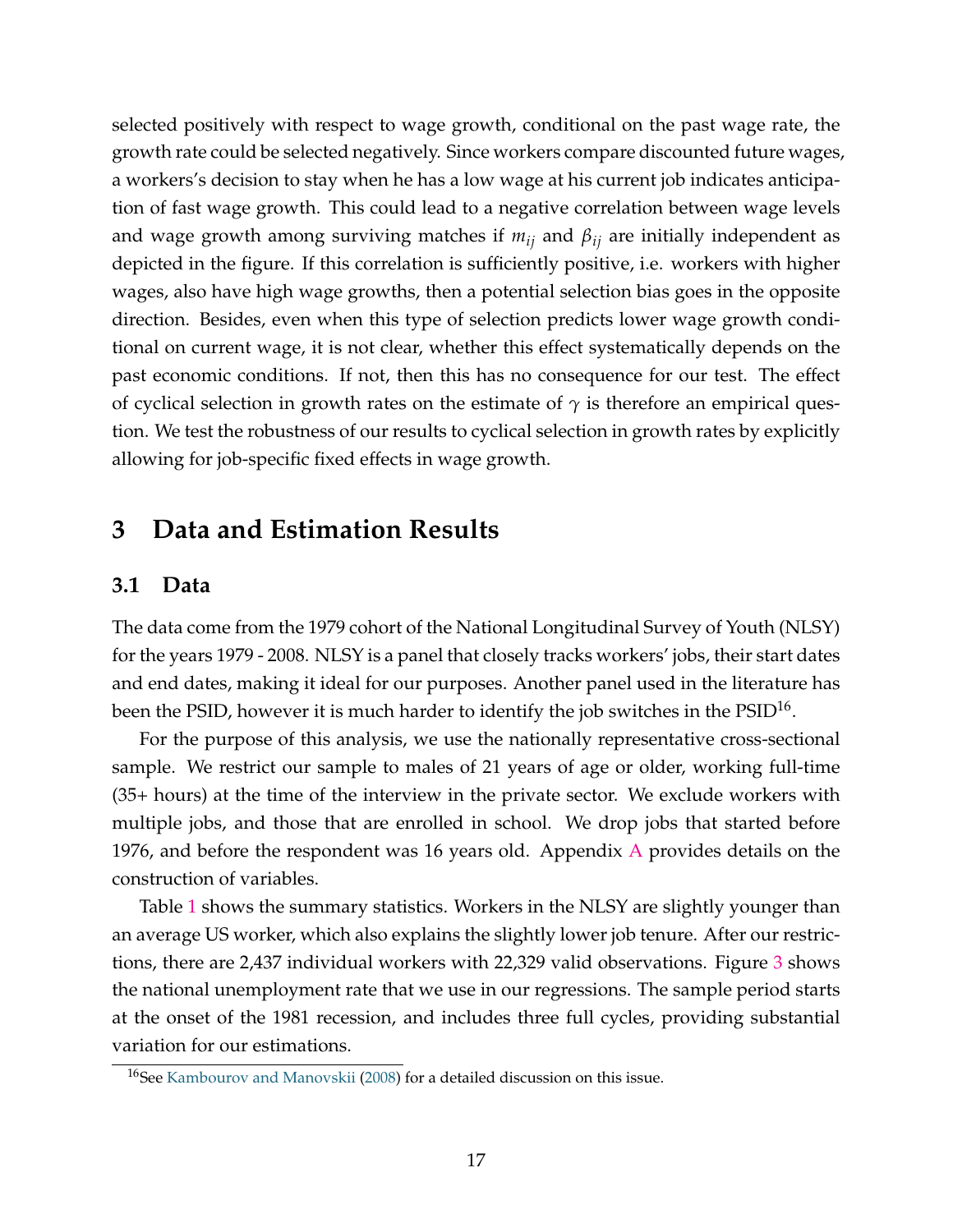selected positively with respect to wage growth, conditional on the past wage rate, the growth rate could be selected negatively. Since workers compare discounted future wages, a workers's decision to stay when he has a low wage at his current job indicates anticipation of fast wage growth. This could lead to a negative correlation between wage levels and wage growth among surviving matches if *mij* and *βij* are initially independent as depicted in the figure. If this correlation is sufficiently positive, i.e. workers with higher wages, also have high wage growths, then a potential selection bias goes in the opposite direction. Besides, even when this type of selection predicts lower wage growth conditional on current wage, it is not clear, whether this effect systematically depends on the past economic conditions. If not, then this has no consequence for our test. The effect of cyclical selection in growth rates on the estimate of  $\gamma$  is therefore an empirical question. We test the robustness of our results to cyclical selection in growth rates by explicitly allowing for job-specific fixed effects in wage growth.

# **3 Data and Estimation Results**

### **3.1 Data**

The data come from the 1979 cohort of the National Longitudinal Survey of Youth (NLSY) for the years 1979 - 2008. NLSY is a panel that closely tracks workers' jobs, their start dates and end dates, making it ideal for our purposes. Another panel used in the literature has been the PSID, however it is much harder to identify the job switches in the PSID $^{16}\!.$ 

For the purpose of this analysis, we use the nationally representative cross-sectional sample. We restrict our sample to males of 21 years of age or older, working full-time (35+ hours) at the time of the interview in the private sector. We exclude workers with multiple jobs, and those that are enrolled in school. We drop jobs that started before 1976, and before the respondent was 16 years old. Appendix  $\overline{A}$  provides details on the construction of variables.

Table 1 shows the summary statistics. Workers in the NLSY are slightly younger than an average US worker, which also explains the slightly lower job tenure. After our restrictions, there are 2,437 individual workers with 22,329 valid observations. Figure 3 shows the national unemployment rate that we use in our regressions. The sample period starts at the onset of the 1981 recession, and includes three full cycles, providing substantial variation for our estimations.

<sup>&</sup>lt;sup>16</sup>See Kambourov and Manovskii (2008) for a detailed discussion on this issue.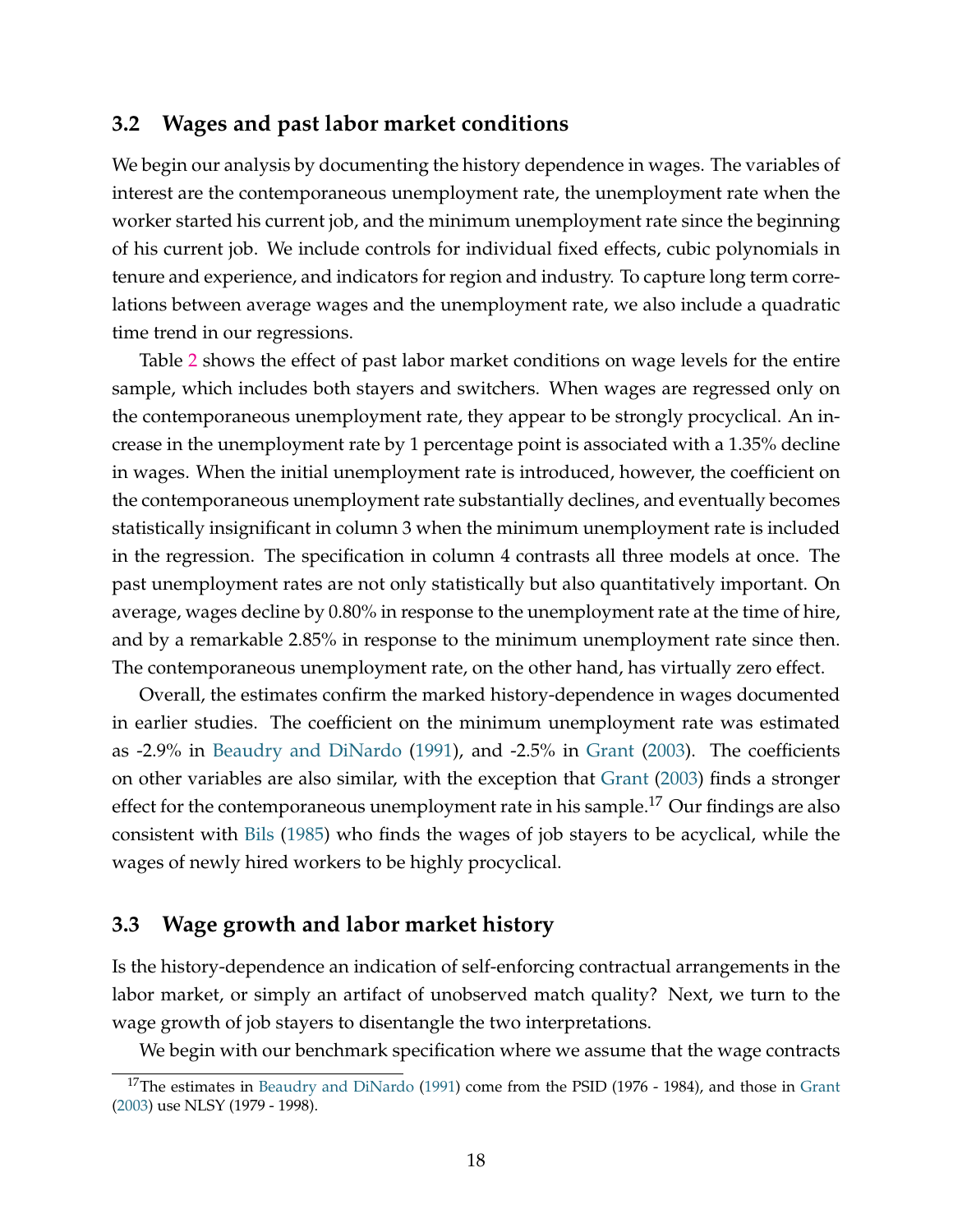### **3.2 Wages and past labor market conditions**

We begin our analysis by documenting the history dependence in wages. The variables of interest are the contemporaneous unemployment rate, the unemployment rate when the worker started his current job, and the minimum unemployment rate since the beginning of his current job. We include controls for individual fixed effects, cubic polynomials in tenure and experience, and indicators for region and industry. To capture long term correlations between average wages and the unemployment rate, we also include a quadratic time trend in our regressions.

Table 2 shows the effect of past labor market conditions on wage levels for the entire sample, which includes both stayers and switchers. When wages are regressed only on the contemporaneous unemployment rate, they appear to be strongly procyclical. An increase in the unemployment rate by 1 percentage point is associated with a 1.35% decline in wages. When the initial unemployment rate is introduced, however, the coefficient on the contemporaneous unemployment rate substantially declines, and eventually becomes statistically insignificant in column 3 when the minimum unemployment rate is included in the regression. The specification in column 4 contrasts all three models at once. The past unemployment rates are not only statistically but also quantitatively important. On average, wages decline by 0.80% in response to the unemployment rate at the time of hire, and by a remarkable 2.85% in response to the minimum unemployment rate since then. The contemporaneous unemployment rate, on the other hand, has virtually zero effect.

Overall, the estimates confirm the marked history-dependence in wages documented in earlier studies. The coefficient on the minimum unemployment rate was estimated as -2.9% in Beaudry and DiNardo (1991), and -2.5% in Grant (2003). The coefficients on other variables are also similar, with the exception that Grant (2003) finds a stronger effect for the contemporaneous unemployment rate in his sample.<sup>17</sup> Our findings are also consistent with Bils (1985) who finds the wages of job stayers to be acyclical, while the wages of newly hired workers to be highly procyclical.

### **3.3 Wage growth and labor market history**

Is the history-dependence an indication of self-enforcing contractual arrangements in the labor market, or simply an artifact of unobserved match quality? Next, we turn to the wage growth of job stayers to disentangle the two interpretations.

We begin with our benchmark specification where we assume that the wage contracts

<sup>&</sup>lt;sup>17</sup>The estimates in Beaudry and DiNardo (1991) come from the PSID (1976 - 1984), and those in Grant (2003) use NLSY (1979 - 1998).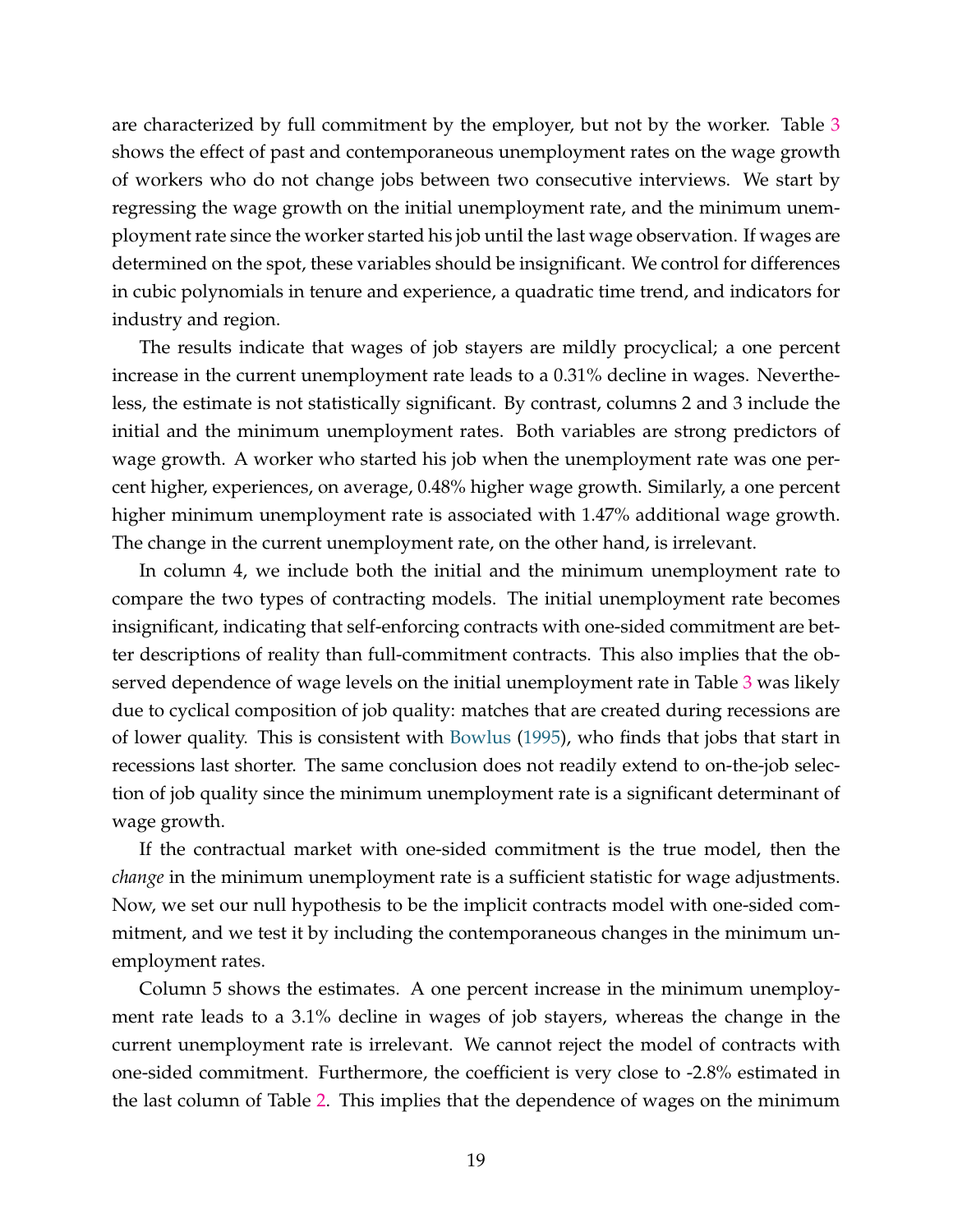are characterized by full commitment by the employer, but not by the worker. Table 3 shows the effect of past and contemporaneous unemployment rates on the wage growth of workers who do not change jobs between two consecutive interviews. We start by regressing the wage growth on the initial unemployment rate, and the minimum unemployment rate since the worker started his job until the last wage observation. If wages are determined on the spot, these variables should be insignificant. We control for differences in cubic polynomials in tenure and experience, a quadratic time trend, and indicators for industry and region.

The results indicate that wages of job stayers are mildly procyclical; a one percent increase in the current unemployment rate leads to a 0.31% decline in wages. Nevertheless, the estimate is not statistically significant. By contrast, columns 2 and 3 include the initial and the minimum unemployment rates. Both variables are strong predictors of wage growth. A worker who started his job when the unemployment rate was one percent higher, experiences, on average, 0.48% higher wage growth. Similarly, a one percent higher minimum unemployment rate is associated with 1.47% additional wage growth. The change in the current unemployment rate, on the other hand, is irrelevant.

In column 4, we include both the initial and the minimum unemployment rate to compare the two types of contracting models. The initial unemployment rate becomes insignificant, indicating that self-enforcing contracts with one-sided commitment are better descriptions of reality than full-commitment contracts. This also implies that the observed dependence of wage levels on the initial unemployment rate in Table 3 was likely due to cyclical composition of job quality: matches that are created during recessions are of lower quality. This is consistent with Bowlus (1995), who finds that jobs that start in recessions last shorter. The same conclusion does not readily extend to on-the-job selection of job quality since the minimum unemployment rate is a significant determinant of wage growth.

If the contractual market with one-sided commitment is the true model, then the *change* in the minimum unemployment rate is a sufficient statistic for wage adjustments. Now, we set our null hypothesis to be the implicit contracts model with one-sided commitment, and we test it by including the contemporaneous changes in the minimum unemployment rates.

Column 5 shows the estimates. A one percent increase in the minimum unemployment rate leads to a 3.1% decline in wages of job stayers, whereas the change in the current unemployment rate is irrelevant. We cannot reject the model of contracts with one-sided commitment. Furthermore, the coefficient is very close to -2.8% estimated in the last column of Table 2. This implies that the dependence of wages on the minimum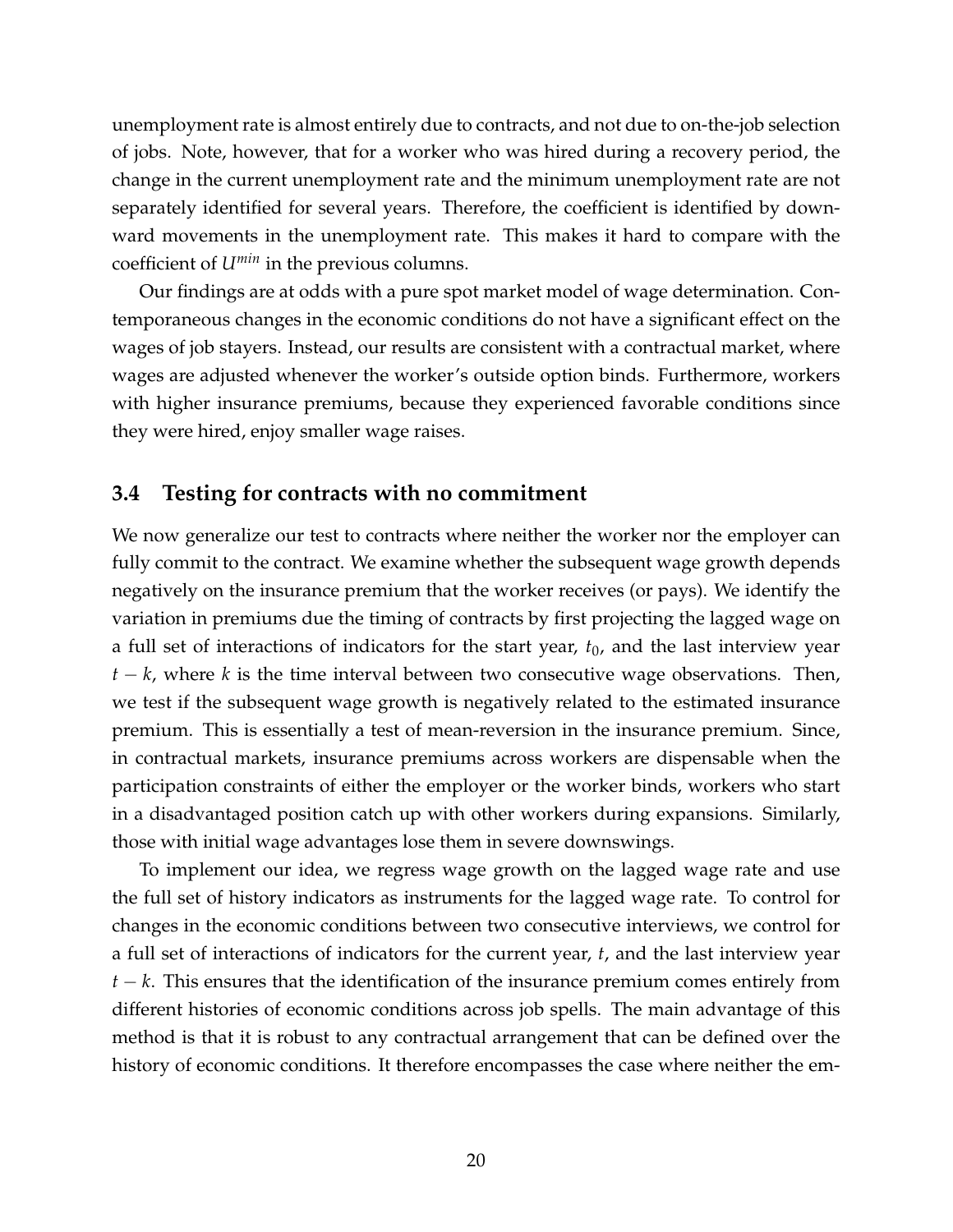unemployment rate is almost entirely due to contracts, and not due to on-the-job selection of jobs. Note, however, that for a worker who was hired during a recovery period, the change in the current unemployment rate and the minimum unemployment rate are not separately identified for several years. Therefore, the coefficient is identified by downward movements in the unemployment rate. This makes it hard to compare with the coefficient of *Umin* in the previous columns.

Our findings are at odds with a pure spot market model of wage determination. Contemporaneous changes in the economic conditions do not have a significant effect on the wages of job stayers. Instead, our results are consistent with a contractual market, where wages are adjusted whenever the worker's outside option binds. Furthermore, workers with higher insurance premiums, because they experienced favorable conditions since they were hired, enjoy smaller wage raises.

### **3.4 Testing for contracts with no commitment**

We now generalize our test to contracts where neither the worker nor the employer can fully commit to the contract. We examine whether the subsequent wage growth depends negatively on the insurance premium that the worker receives (or pays). We identify the variation in premiums due the timing of contracts by first projecting the lagged wage on a full set of interactions of indicators for the start year,  $t_0$ , and the last interview year *t* − *k*, where *k* is the time interval between two consecutive wage observations. Then, we test if the subsequent wage growth is negatively related to the estimated insurance premium. This is essentially a test of mean-reversion in the insurance premium. Since, in contractual markets, insurance premiums across workers are dispensable when the participation constraints of either the employer or the worker binds, workers who start in a disadvantaged position catch up with other workers during expansions. Similarly, those with initial wage advantages lose them in severe downswings.

To implement our idea, we regress wage growth on the lagged wage rate and use the full set of history indicators as instruments for the lagged wage rate. To control for changes in the economic conditions between two consecutive interviews, we control for a full set of interactions of indicators for the current year, *t*, and the last interview year *t* − *k*. This ensures that the identification of the insurance premium comes entirely from different histories of economic conditions across job spells. The main advantage of this method is that it is robust to any contractual arrangement that can be defined over the history of economic conditions. It therefore encompasses the case where neither the em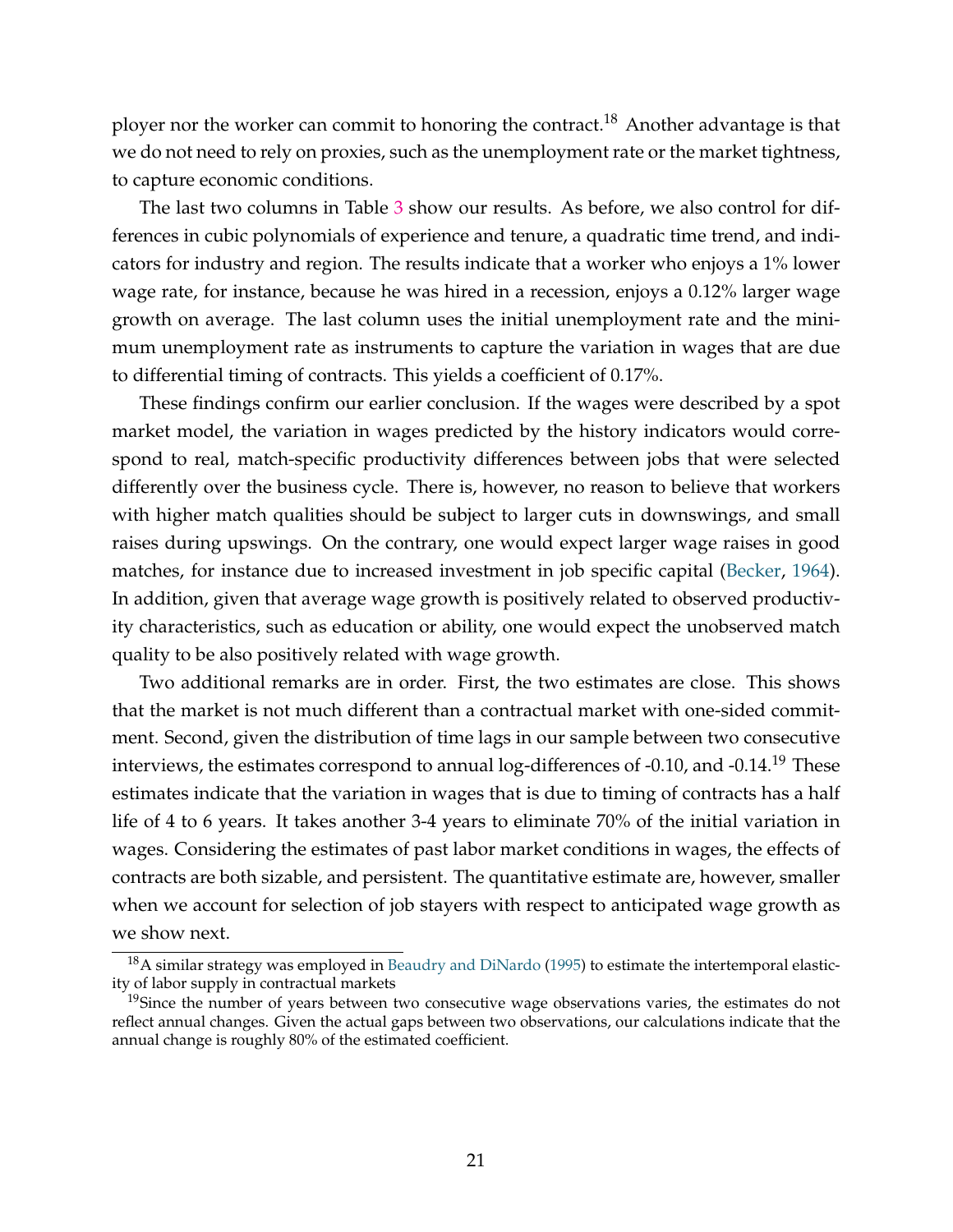ployer nor the worker can commit to honoring the contract.<sup>18</sup> Another advantage is that we do not need to rely on proxies, such as the unemployment rate or the market tightness, to capture economic conditions.

The last two columns in Table 3 show our results. As before, we also control for differences in cubic polynomials of experience and tenure, a quadratic time trend, and indicators for industry and region. The results indicate that a worker who enjoys a 1% lower wage rate, for instance, because he was hired in a recession, enjoys a 0.12% larger wage growth on average. The last column uses the initial unemployment rate and the minimum unemployment rate as instruments to capture the variation in wages that are due to differential timing of contracts. This yields a coefficient of 0.17%.

These findings confirm our earlier conclusion. If the wages were described by a spot market model, the variation in wages predicted by the history indicators would correspond to real, match-specific productivity differences between jobs that were selected differently over the business cycle. There is, however, no reason to believe that workers with higher match qualities should be subject to larger cuts in downswings, and small raises during upswings. On the contrary, one would expect larger wage raises in good matches, for instance due to increased investment in job specific capital (Becker, 1964). In addition, given that average wage growth is positively related to observed productivity characteristics, such as education or ability, one would expect the unobserved match quality to be also positively related with wage growth.

Two additional remarks are in order. First, the two estimates are close. This shows that the market is not much different than a contractual market with one-sided commitment. Second, given the distribution of time lags in our sample between two consecutive interviews, the estimates correspond to annual log-differences of -0.10, and -0.14.<sup>19</sup> These estimates indicate that the variation in wages that is due to timing of contracts has a half life of 4 to 6 years. It takes another 3-4 years to eliminate 70% of the initial variation in wages. Considering the estimates of past labor market conditions in wages, the effects of contracts are both sizable, and persistent. The quantitative estimate are, however, smaller when we account for selection of job stayers with respect to anticipated wage growth as we show next.

<sup>&</sup>lt;sup>18</sup>A similar strategy was employed in Beaudry and DiNardo (1995) to estimate the intertemporal elasticity of labor supply in contractual markets

<sup>&</sup>lt;sup>19</sup>Since the number of years between two consecutive wage observations varies, the estimates do not reflect annual changes. Given the actual gaps between two observations, our calculations indicate that the annual change is roughly 80% of the estimated coefficient.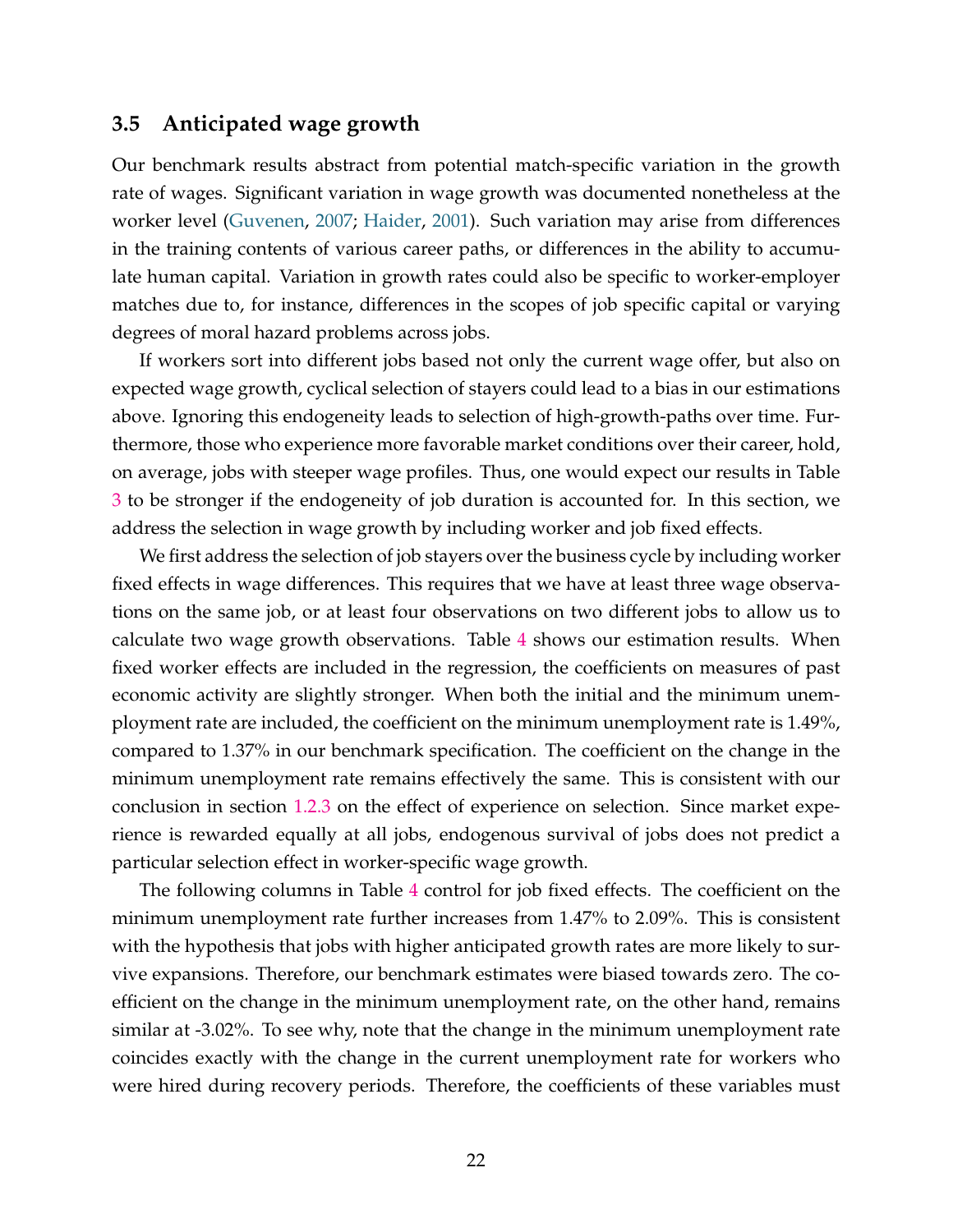### **3.5 Anticipated wage growth**

Our benchmark results abstract from potential match-specific variation in the growth rate of wages. Significant variation in wage growth was documented nonetheless at the worker level (Guvenen, 2007; Haider, 2001). Such variation may arise from differences in the training contents of various career paths, or differences in the ability to accumulate human capital. Variation in growth rates could also be specific to worker-employer matches due to, for instance, differences in the scopes of job specific capital or varying degrees of moral hazard problems across jobs.

If workers sort into different jobs based not only the current wage offer, but also on expected wage growth, cyclical selection of stayers could lead to a bias in our estimations above. Ignoring this endogeneity leads to selection of high-growth-paths over time. Furthermore, those who experience more favorable market conditions over their career, hold, on average, jobs with steeper wage profiles. Thus, one would expect our results in Table 3 to be stronger if the endogeneity of job duration is accounted for. In this section, we address the selection in wage growth by including worker and job fixed effects.

We first address the selection of job stayers over the business cycle by including worker fixed effects in wage differences. This requires that we have at least three wage observations on the same job, or at least four observations on two different jobs to allow us to calculate two wage growth observations. Table 4 shows our estimation results. When fixed worker effects are included in the regression, the coefficients on measures of past economic activity are slightly stronger. When both the initial and the minimum unemployment rate are included, the coefficient on the minimum unemployment rate is 1.49%, compared to 1.37% in our benchmark specification. The coefficient on the change in the minimum unemployment rate remains effectively the same. This is consistent with our conclusion in section 1.2.3 on the effect of experience on selection. Since market experience is rewarded equally at all jobs, endogenous survival of jobs does not predict a particular selection effect in worker-specific wage growth.

The following columns in Table 4 control for job fixed effects. The coefficient on the minimum unemployment rate further increases from 1.47% to 2.09%. This is consistent with the hypothesis that jobs with higher anticipated growth rates are more likely to survive expansions. Therefore, our benchmark estimates were biased towards zero. The coefficient on the change in the minimum unemployment rate, on the other hand, remains similar at -3.02%. To see why, note that the change in the minimum unemployment rate coincides exactly with the change in the current unemployment rate for workers who were hired during recovery periods. Therefore, the coefficients of these variables must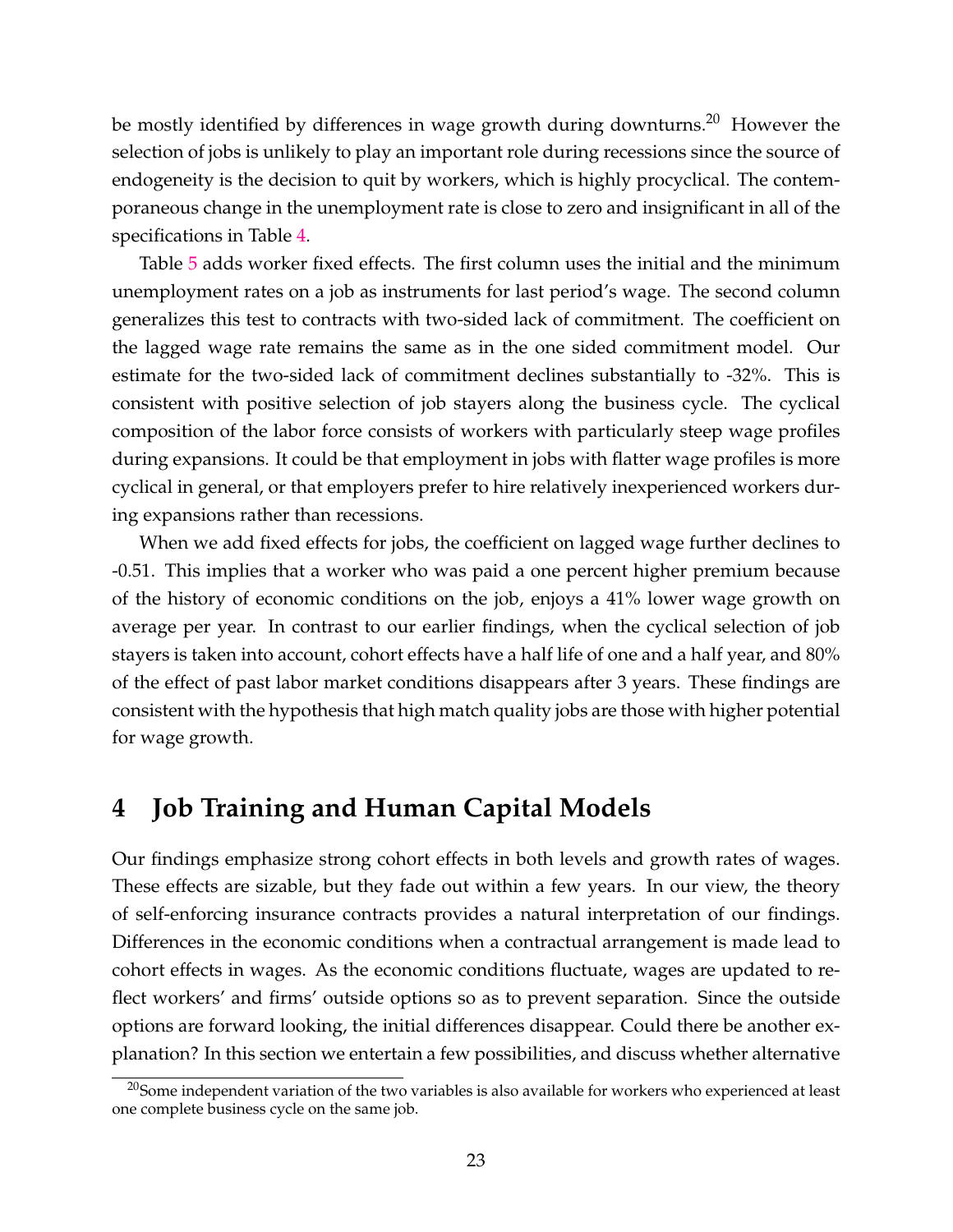be mostly identified by differences in wage growth during downturns.<sup>20</sup> However the selection of jobs is unlikely to play an important role during recessions since the source of endogeneity is the decision to quit by workers, which is highly procyclical. The contemporaneous change in the unemployment rate is close to zero and insignificant in all of the specifications in Table 4.

Table 5 adds worker fixed effects. The first column uses the initial and the minimum unemployment rates on a job as instruments for last period's wage. The second column generalizes this test to contracts with two-sided lack of commitment. The coefficient on the lagged wage rate remains the same as in the one sided commitment model. Our estimate for the two-sided lack of commitment declines substantially to -32%. This is consistent with positive selection of job stayers along the business cycle. The cyclical composition of the labor force consists of workers with particularly steep wage profiles during expansions. It could be that employment in jobs with flatter wage profiles is more cyclical in general, or that employers prefer to hire relatively inexperienced workers during expansions rather than recessions.

When we add fixed effects for jobs, the coefficient on lagged wage further declines to -0.51. This implies that a worker who was paid a one percent higher premium because of the history of economic conditions on the job, enjoys a 41% lower wage growth on average per year. In contrast to our earlier findings, when the cyclical selection of job stayers is taken into account, cohort effects have a half life of one and a half year, and 80% of the effect of past labor market conditions disappears after 3 years. These findings are consistent with the hypothesis that high match quality jobs are those with higher potential for wage growth.

# **4 Job Training and Human Capital Models**

Our findings emphasize strong cohort effects in both levels and growth rates of wages. These effects are sizable, but they fade out within a few years. In our view, the theory of self-enforcing insurance contracts provides a natural interpretation of our findings. Differences in the economic conditions when a contractual arrangement is made lead to cohort effects in wages. As the economic conditions fluctuate, wages are updated to reflect workers' and firms' outside options so as to prevent separation. Since the outside options are forward looking, the initial differences disappear. Could there be another explanation? In this section we entertain a few possibilities, and discuss whether alternative

 $^{20}$ Some independent variation of the two variables is also available for workers who experienced at least one complete business cycle on the same job.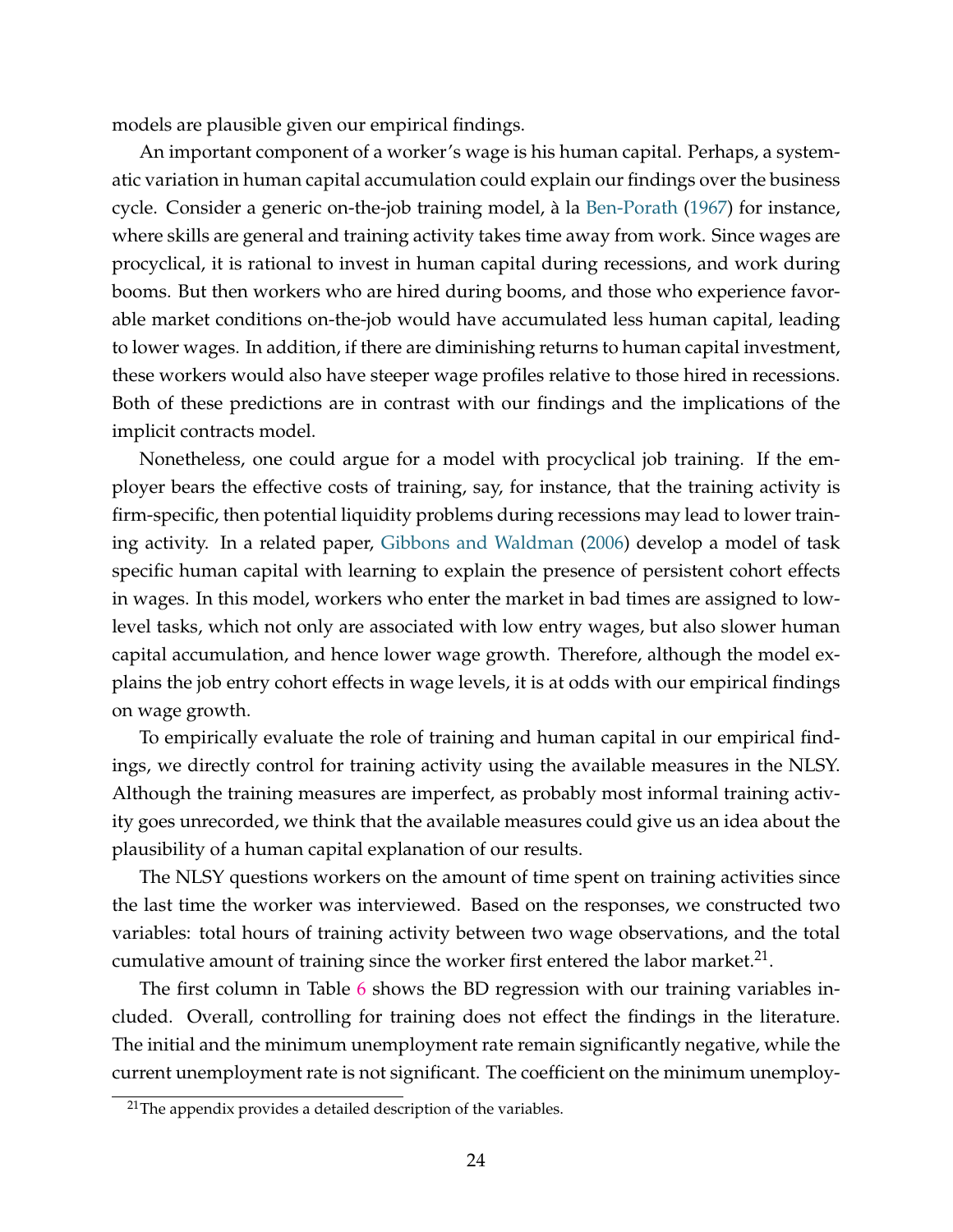models are plausible given our empirical findings.

An important component of a worker's wage is his human capital. Perhaps, a systematic variation in human capital accumulation could explain our findings over the business cycle. Consider a generic on-the-job training model, à la Ben-Porath (1967) for instance, where skills are general and training activity takes time away from work. Since wages are procyclical, it is rational to invest in human capital during recessions, and work during booms. But then workers who are hired during booms, and those who experience favorable market conditions on-the-job would have accumulated less human capital, leading to lower wages. In addition, if there are diminishing returns to human capital investment, these workers would also have steeper wage profiles relative to those hired in recessions. Both of these predictions are in contrast with our findings and the implications of the implicit contracts model.

Nonetheless, one could argue for a model with procyclical job training. If the employer bears the effective costs of training, say, for instance, that the training activity is firm-specific, then potential liquidity problems during recessions may lead to lower training activity. In a related paper, Gibbons and Waldman (2006) develop a model of task specific human capital with learning to explain the presence of persistent cohort effects in wages. In this model, workers who enter the market in bad times are assigned to lowlevel tasks, which not only are associated with low entry wages, but also slower human capital accumulation, and hence lower wage growth. Therefore, although the model explains the job entry cohort effects in wage levels, it is at odds with our empirical findings on wage growth.

To empirically evaluate the role of training and human capital in our empirical findings, we directly control for training activity using the available measures in the NLSY. Although the training measures are imperfect, as probably most informal training activity goes unrecorded, we think that the available measures could give us an idea about the plausibility of a human capital explanation of our results.

The NLSY questions workers on the amount of time spent on training activities since the last time the worker was interviewed. Based on the responses, we constructed two variables: total hours of training activity between two wage observations, and the total cumulative amount of training since the worker first entered the labor market.<sup>21</sup>.

The first column in Table 6 shows the BD regression with our training variables included. Overall, controlling for training does not effect the findings in the literature. The initial and the minimum unemployment rate remain significantly negative, while the current unemployment rate is not significant. The coefficient on the minimum unemploy-

 $21$ The appendix provides a detailed description of the variables.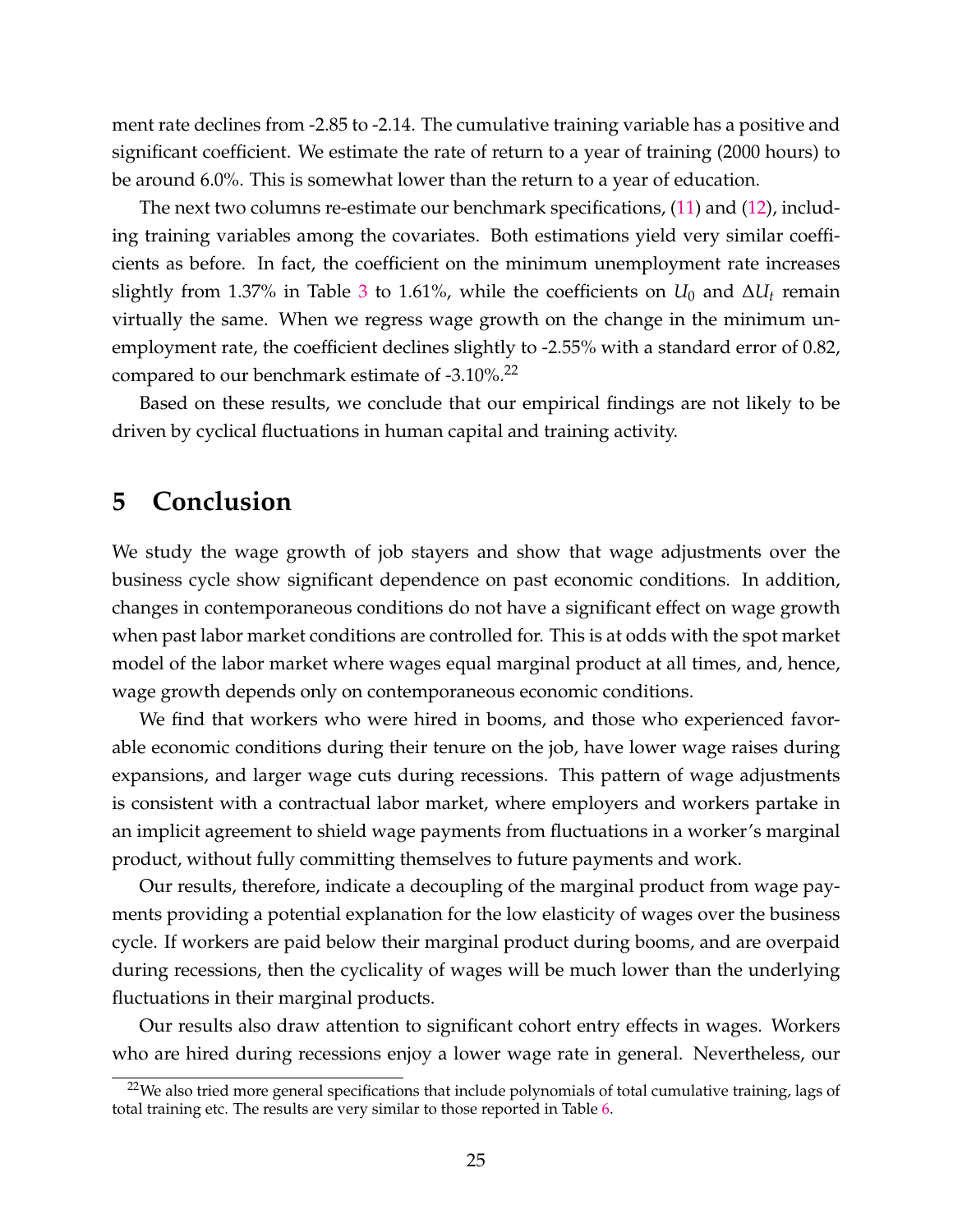ment rate declines from -2.85 to -2.14. The cumulative training variable has a positive and significant coefficient. We estimate the rate of return to a year of training (2000 hours) to be around 6.0%. This is somewhat lower than the return to a year of education.

The next two columns re-estimate our benchmark specifications, (11) and (12), including training variables among the covariates. Both estimations yield very similar coefficients as before. In fact, the coefficient on the minimum unemployment rate increases slightly from 1.37% in Table 3 to 1.61%, while the coefficients on  $U_0$  and  $\Delta U_t$  remain virtually the same. When we regress wage growth on the change in the minimum unemployment rate, the coefficient declines slightly to -2.55% with a standard error of 0.82, compared to our benchmark estimate of -3.10%.<sup>22</sup>

Based on these results, we conclude that our empirical findings are not likely to be driven by cyclical fluctuations in human capital and training activity.

# **5 Conclusion**

We study the wage growth of job stayers and show that wage adjustments over the business cycle show significant dependence on past economic conditions. In addition, changes in contemporaneous conditions do not have a significant effect on wage growth when past labor market conditions are controlled for. This is at odds with the spot market model of the labor market where wages equal marginal product at all times, and, hence, wage growth depends only on contemporaneous economic conditions.

We find that workers who were hired in booms, and those who experienced favorable economic conditions during their tenure on the job, have lower wage raises during expansions, and larger wage cuts during recessions. This pattern of wage adjustments is consistent with a contractual labor market, where employers and workers partake in an implicit agreement to shield wage payments from fluctuations in a worker's marginal product, without fully committing themselves to future payments and work.

Our results, therefore, indicate a decoupling of the marginal product from wage payments providing a potential explanation for the low elasticity of wages over the business cycle. If workers are paid below their marginal product during booms, and are overpaid during recessions, then the cyclicality of wages will be much lower than the underlying fluctuations in their marginal products.

Our results also draw attention to significant cohort entry effects in wages. Workers who are hired during recessions enjoy a lower wage rate in general. Nevertheless, our

 $22$ We also tried more general specifications that include polynomials of total cumulative training, lags of total training etc. The results are very similar to those reported in Table 6.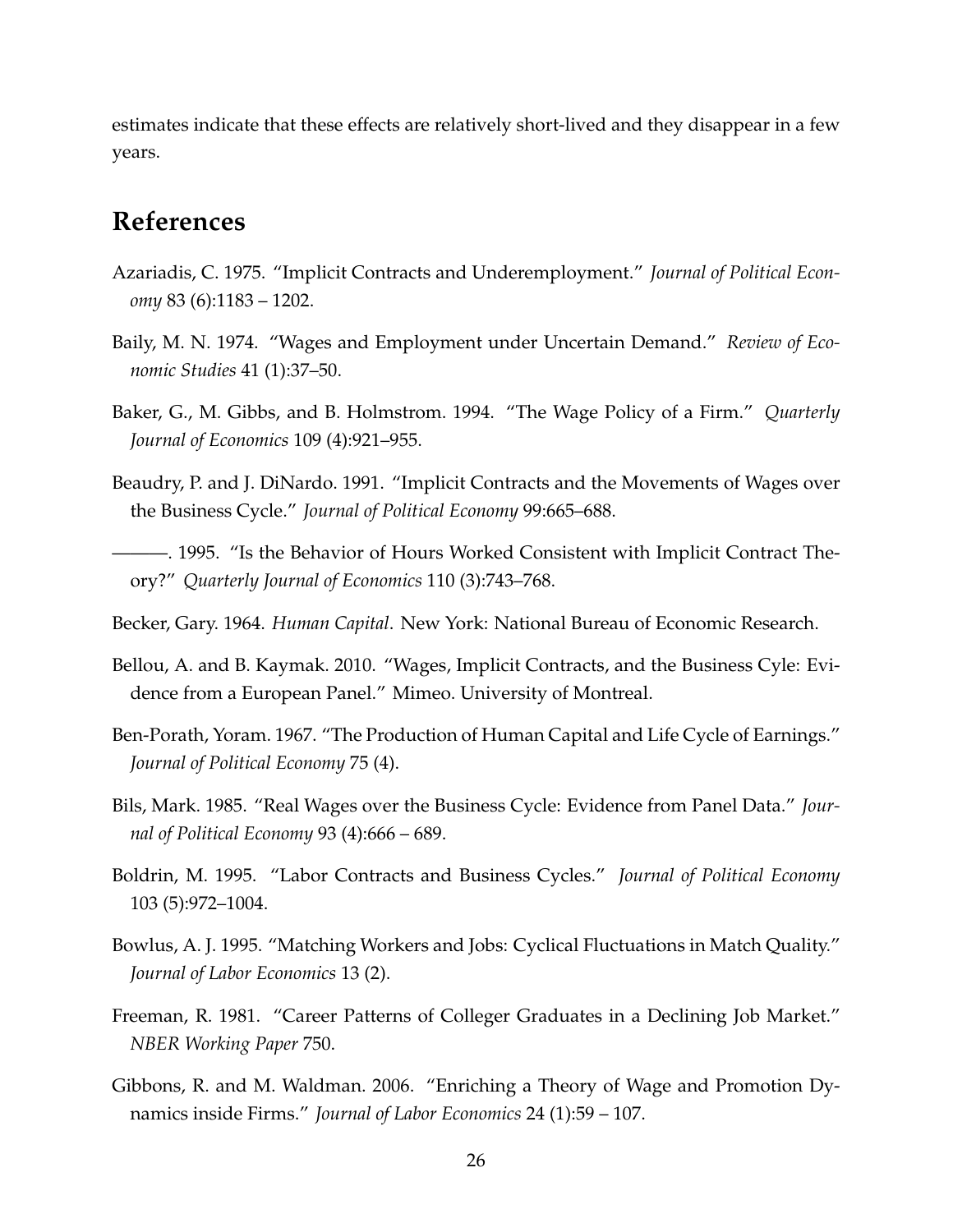estimates indicate that these effects are relatively short-lived and they disappear in a few years.

# **References**

- Azariadis, C. 1975. "Implicit Contracts and Underemployment." *Journal of Political Economy* 83 (6):1183 – 1202.
- Baily, M. N. 1974. "Wages and Employment under Uncertain Demand." *Review of Economic Studies* 41 (1):37–50.
- Baker, G., M. Gibbs, and B. Holmstrom. 1994. "The Wage Policy of a Firm." *Quarterly Journal of Economics* 109 (4):921–955.
- Beaudry, P. and J. DiNardo. 1991. "Implicit Contracts and the Movements of Wages over the Business Cycle." *Journal of Political Economy* 99:665–688.
- ———. 1995. "Is the Behavior of Hours Worked Consistent with Implicit Contract Theory?" *Quarterly Journal of Economics* 110 (3):743–768.
- Becker, Gary. 1964. *Human Capital*. New York: National Bureau of Economic Research.
- Bellou, A. and B. Kaymak. 2010. "Wages, Implicit Contracts, and the Business Cyle: Evidence from a European Panel." Mimeo. University of Montreal.
- Ben-Porath, Yoram. 1967. "The Production of Human Capital and Life Cycle of Earnings." *Journal of Political Economy* 75 (4).
- Bils, Mark. 1985. "Real Wages over the Business Cycle: Evidence from Panel Data." *Journal of Political Economy* 93 (4):666 – 689.
- Boldrin, M. 1995. "Labor Contracts and Business Cycles." *Journal of Political Economy* 103 (5):972–1004.
- Bowlus, A. J. 1995. "Matching Workers and Jobs: Cyclical Fluctuations in Match Quality." *Journal of Labor Economics* 13 (2).
- Freeman, R. 1981. "Career Patterns of Colleger Graduates in a Declining Job Market." *NBER Working Paper* 750.
- Gibbons, R. and M. Waldman. 2006. "Enriching a Theory of Wage and Promotion Dynamics inside Firms." *Journal of Labor Economics* 24 (1):59 – 107.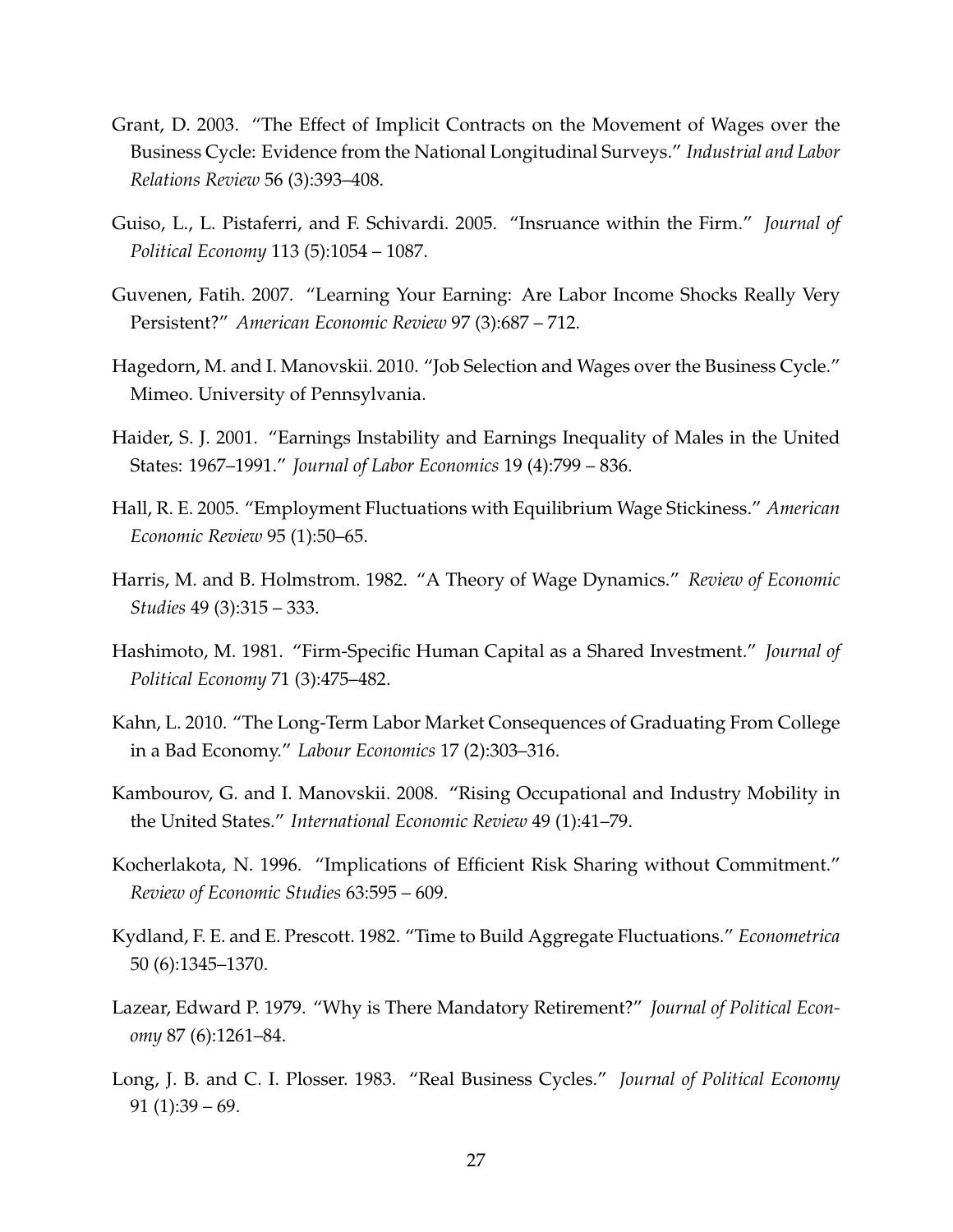- Grant, D. 2003. "The Effect of Implicit Contracts on the Movement of Wages over the Business Cycle: Evidence from the National Longitudinal Surveys." *Industrial and Labor Relations Review* 56 (3):393–408.
- Guiso, L., L. Pistaferri, and F. Schivardi. 2005. "Insruance within the Firm." *Journal of Political Economy* 113 (5):1054 – 1087.
- Guvenen, Fatih. 2007. "Learning Your Earning: Are Labor Income Shocks Really Very Persistent?" *American Economic Review* 97 (3):687 – 712.
- Hagedorn, M. and I. Manovskii. 2010. "Job Selection and Wages over the Business Cycle." Mimeo. University of Pennsylvania.
- Haider, S. J. 2001. "Earnings Instability and Earnings Inequality of Males in the United States: 1967–1991." *Journal of Labor Economics* 19 (4):799 – 836.
- Hall, R. E. 2005. "Employment Fluctuations with Equilibrium Wage Stickiness." *American Economic Review* 95 (1):50–65.
- Harris, M. and B. Holmstrom. 1982. "A Theory of Wage Dynamics." *Review of Economic Studies* 49 (3):315 – 333.
- Hashimoto, M. 1981. "Firm-Specific Human Capital as a Shared Investment." *Journal of Political Economy* 71 (3):475–482.
- Kahn, L. 2010. "The Long-Term Labor Market Consequences of Graduating From College in a Bad Economy." *Labour Economics* 17 (2):303–316.
- Kambourov, G. and I. Manovskii. 2008. "Rising Occupational and Industry Mobility in the United States." *International Economic Review* 49 (1):41–79.
- Kocherlakota, N. 1996. "Implications of Efficient Risk Sharing without Commitment." *Review of Economic Studies* 63:595 – 609.
- Kydland, F. E. and E. Prescott. 1982. "Time to Build Aggregate Fluctuations." *Econometrica* 50 (6):1345–1370.
- Lazear, Edward P. 1979. "Why is There Mandatory Retirement?" *Journal of Political Economy* 87 (6):1261–84.
- Long, J. B. and C. I. Plosser. 1983. "Real Business Cycles." *Journal of Political Economy*  $91$  (1):39 – 69.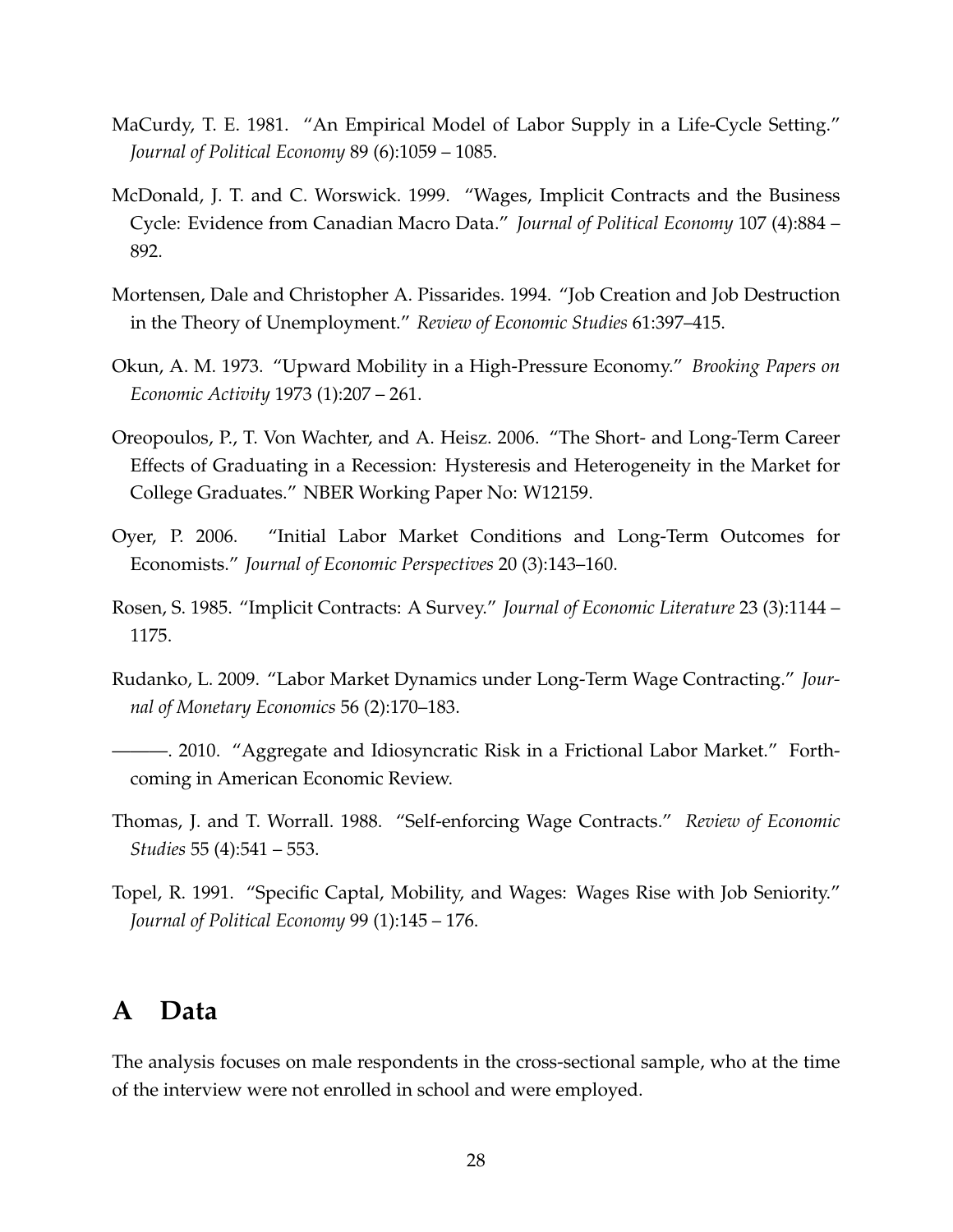- MaCurdy, T. E. 1981. "An Empirical Model of Labor Supply in a Life-Cycle Setting." *Journal of Political Economy* 89 (6):1059 – 1085.
- McDonald, J. T. and C. Worswick. 1999. "Wages, Implicit Contracts and the Business Cycle: Evidence from Canadian Macro Data." *Journal of Political Economy* 107 (4):884 – 892.
- Mortensen, Dale and Christopher A. Pissarides. 1994. "Job Creation and Job Destruction in the Theory of Unemployment." *Review of Economic Studies* 61:397–415.
- Okun, A. M. 1973. "Upward Mobility in a High-Pressure Economy." *Brooking Papers on Economic Activity* 1973 (1):207 – 261.
- Oreopoulos, P., T. Von Wachter, and A. Heisz. 2006. "The Short- and Long-Term Career Effects of Graduating in a Recession: Hysteresis and Heterogeneity in the Market for College Graduates." NBER Working Paper No: W12159.
- Oyer, P. 2006. "Initial Labor Market Conditions and Long-Term Outcomes for Economists." *Journal of Economic Perspectives* 20 (3):143–160.
- Rosen, S. 1985. "Implicit Contracts: A Survey." *Journal of Economic Literature* 23 (3):1144 1175.
- Rudanko, L. 2009. "Labor Market Dynamics under Long-Term Wage Contracting." *Journal of Monetary Economics* 56 (2):170–183.
- ———. 2010. "Aggregate and Idiosyncratic Risk in a Frictional Labor Market." Forthcoming in American Economic Review.
- Thomas, J. and T. Worrall. 1988. "Self-enforcing Wage Contracts." *Review of Economic Studies* 55 (4):541 – 553.
- Topel, R. 1991. "Specific Captal, Mobility, and Wages: Wages Rise with Job Seniority." *Journal of Political Economy* 99 (1):145 – 176.

# **A Data**

The analysis focuses on male respondents in the cross-sectional sample, who at the time of the interview were not enrolled in school and were employed.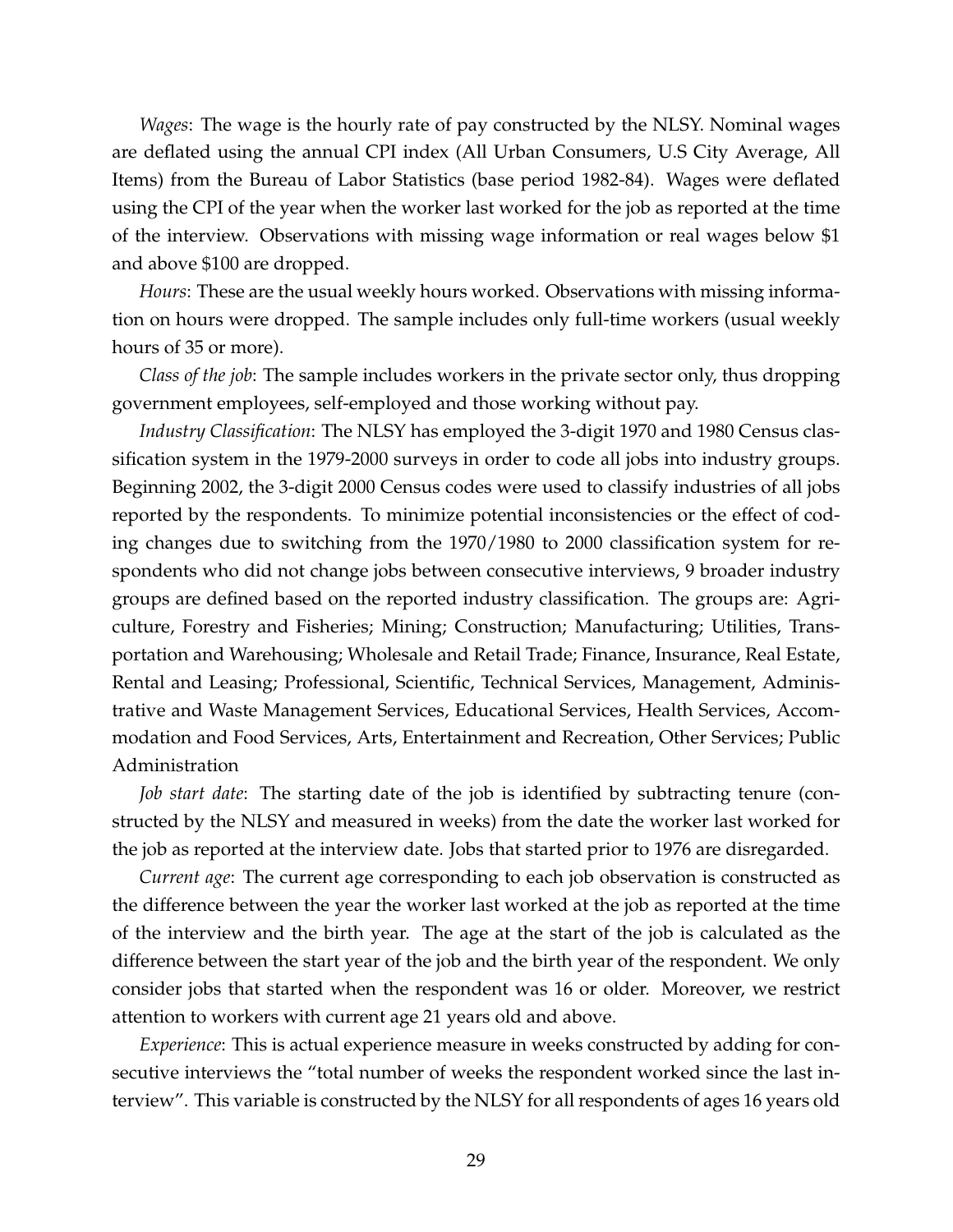*Wages*: The wage is the hourly rate of pay constructed by the NLSY. Nominal wages are deflated using the annual CPI index (All Urban Consumers, U.S City Average, All Items) from the Bureau of Labor Statistics (base period 1982-84). Wages were deflated using the CPI of the year when the worker last worked for the job as reported at the time of the interview. Observations with missing wage information or real wages below \$1 and above \$100 are dropped.

*Hours*: These are the usual weekly hours worked. Observations with missing information on hours were dropped. The sample includes only full-time workers (usual weekly hours of 35 or more).

*Class of the job*: The sample includes workers in the private sector only, thus dropping government employees, self-employed and those working without pay.

*Industry Classification*: The NLSY has employed the 3-digit 1970 and 1980 Census classification system in the 1979-2000 surveys in order to code all jobs into industry groups. Beginning 2002, the 3-digit 2000 Census codes were used to classify industries of all jobs reported by the respondents. To minimize potential inconsistencies or the effect of coding changes due to switching from the 1970/1980 to 2000 classification system for respondents who did not change jobs between consecutive interviews, 9 broader industry groups are defined based on the reported industry classification. The groups are: Agriculture, Forestry and Fisheries; Mining; Construction; Manufacturing; Utilities, Transportation and Warehousing; Wholesale and Retail Trade; Finance, Insurance, Real Estate, Rental and Leasing; Professional, Scientific, Technical Services, Management, Administrative and Waste Management Services, Educational Services, Health Services, Accommodation and Food Services, Arts, Entertainment and Recreation, Other Services; Public Administration

*Job start date*: The starting date of the job is identified by subtracting tenure (constructed by the NLSY and measured in weeks) from the date the worker last worked for the job as reported at the interview date. Jobs that started prior to 1976 are disregarded.

*Current age*: The current age corresponding to each job observation is constructed as the difference between the year the worker last worked at the job as reported at the time of the interview and the birth year. The age at the start of the job is calculated as the difference between the start year of the job and the birth year of the respondent. We only consider jobs that started when the respondent was 16 or older. Moreover, we restrict attention to workers with current age 21 years old and above.

*Experience*: This is actual experience measure in weeks constructed by adding for consecutive interviews the "total number of weeks the respondent worked since the last interview". This variable is constructed by the NLSY for all respondents of ages 16 years old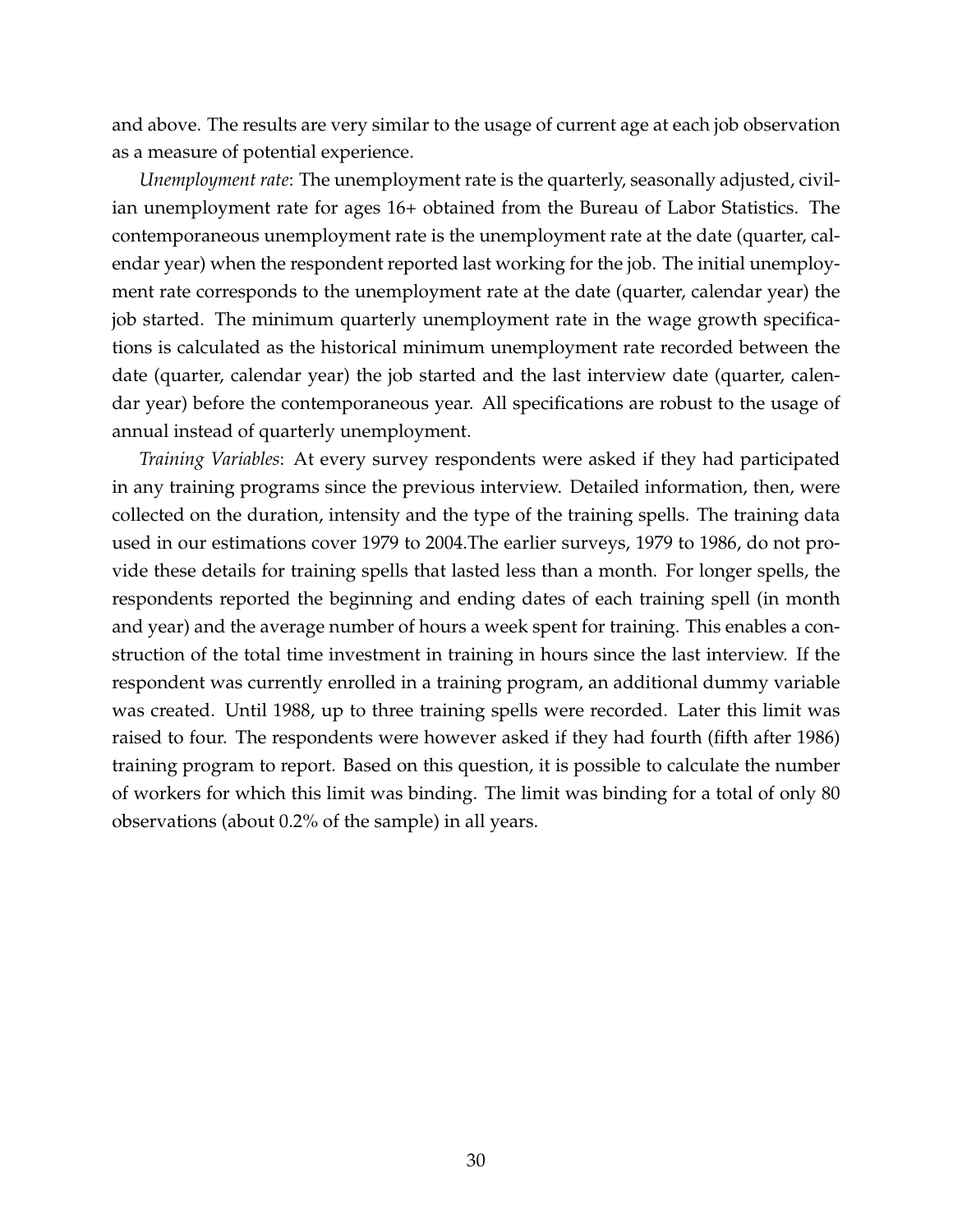and above. The results are very similar to the usage of current age at each job observation as a measure of potential experience.

*Unemployment rate*: The unemployment rate is the quarterly, seasonally adjusted, civilian unemployment rate for ages 16+ obtained from the Bureau of Labor Statistics. The contemporaneous unemployment rate is the unemployment rate at the date (quarter, calendar year) when the respondent reported last working for the job. The initial unemployment rate corresponds to the unemployment rate at the date (quarter, calendar year) the job started. The minimum quarterly unemployment rate in the wage growth specifications is calculated as the historical minimum unemployment rate recorded between the date (quarter, calendar year) the job started and the last interview date (quarter, calendar year) before the contemporaneous year. All specifications are robust to the usage of annual instead of quarterly unemployment.

*Training Variables*: At every survey respondents were asked if they had participated in any training programs since the previous interview. Detailed information, then, were collected on the duration, intensity and the type of the training spells. The training data used in our estimations cover 1979 to 2004.The earlier surveys, 1979 to 1986, do not provide these details for training spells that lasted less than a month. For longer spells, the respondents reported the beginning and ending dates of each training spell (in month and year) and the average number of hours a week spent for training. This enables a construction of the total time investment in training in hours since the last interview. If the respondent was currently enrolled in a training program, an additional dummy variable was created. Until 1988, up to three training spells were recorded. Later this limit was raised to four. The respondents were however asked if they had fourth (fifth after 1986) training program to report. Based on this question, it is possible to calculate the number of workers for which this limit was binding. The limit was binding for a total of only 80 observations (about 0.2% of the sample) in all years.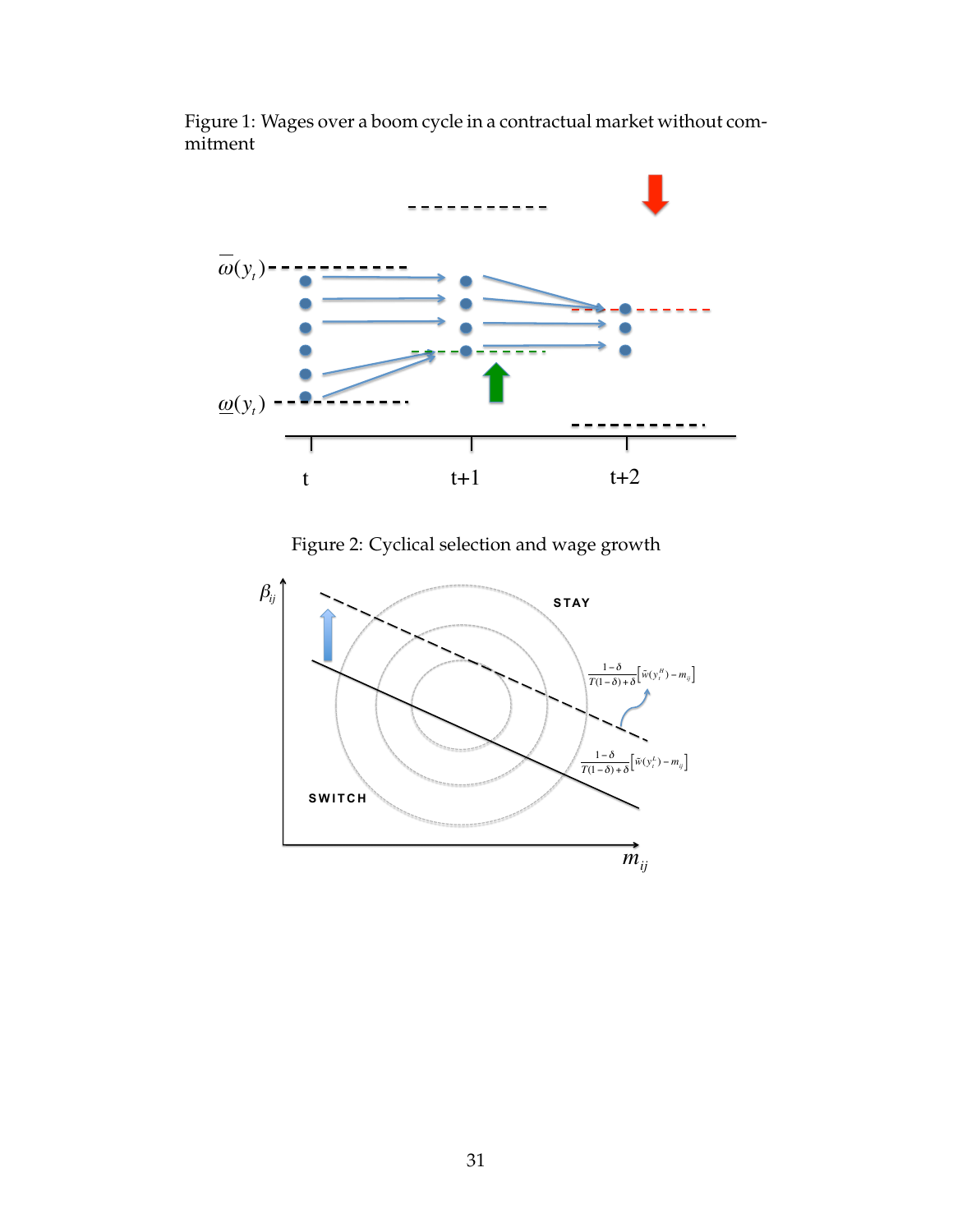Figure 1: Wages over a boom cycle in a contractual market without commitment



Figure 2: Cyclical selection and wage growth

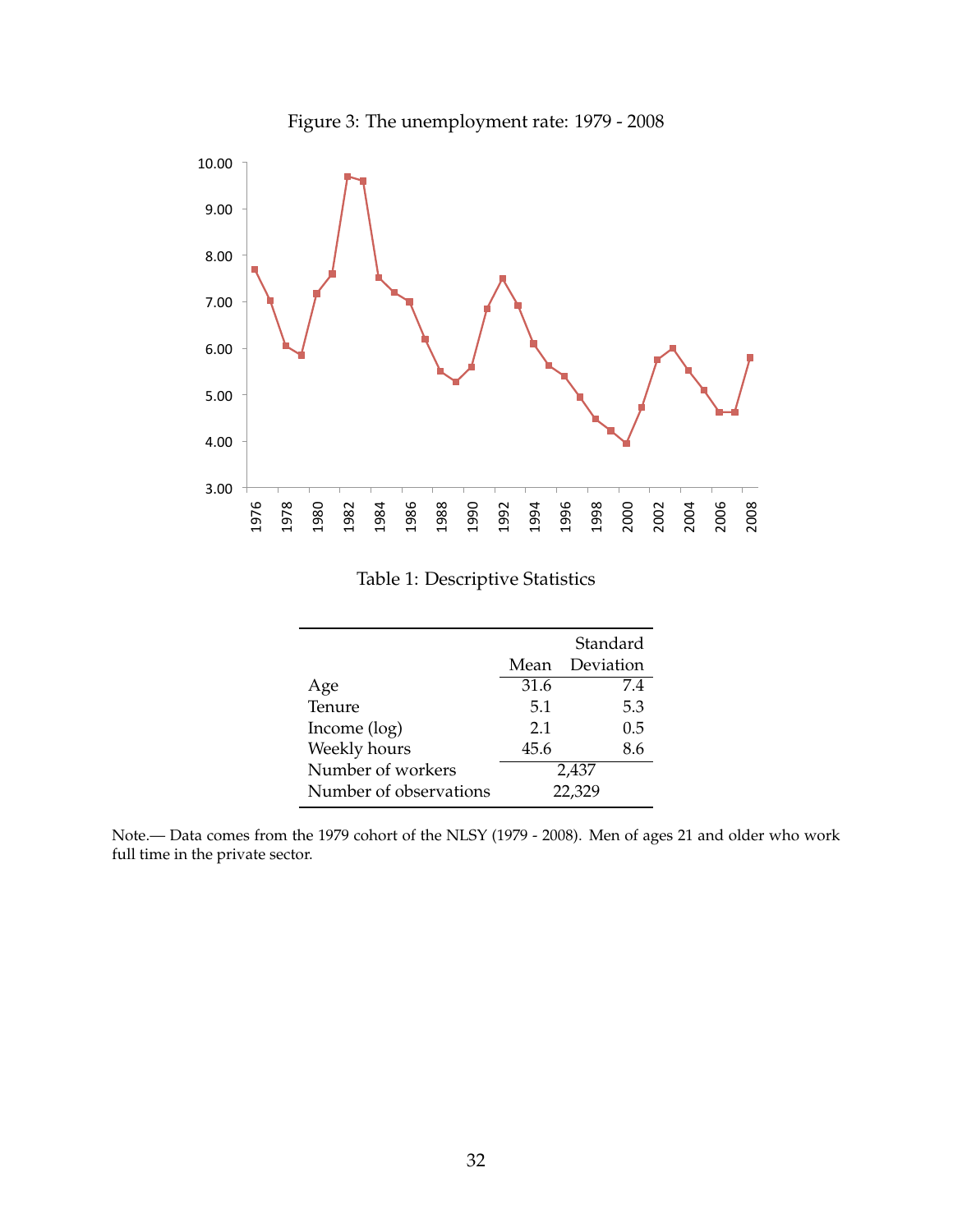

Figure 3: The unemployment rate: 1979 - 2008

## Table 1: Descriptive Statistics

|                        |      | Standard  |
|------------------------|------|-----------|
|                        | Mean | Deviation |
| Age                    | 31.6 | 7.4       |
| Tenure                 | 5.1  | 5.3       |
| Income (log)           | 2.1  | 0.5       |
| Weekly hours           | 45.6 | 8.6       |
| Number of workers      |      | 2,437     |
| Number of observations |      | 22,329    |

Note.— Data comes from the 1979 cohort of the NLSY (1979 - 2008). Men of ages 21 and older who work full time in the private sector.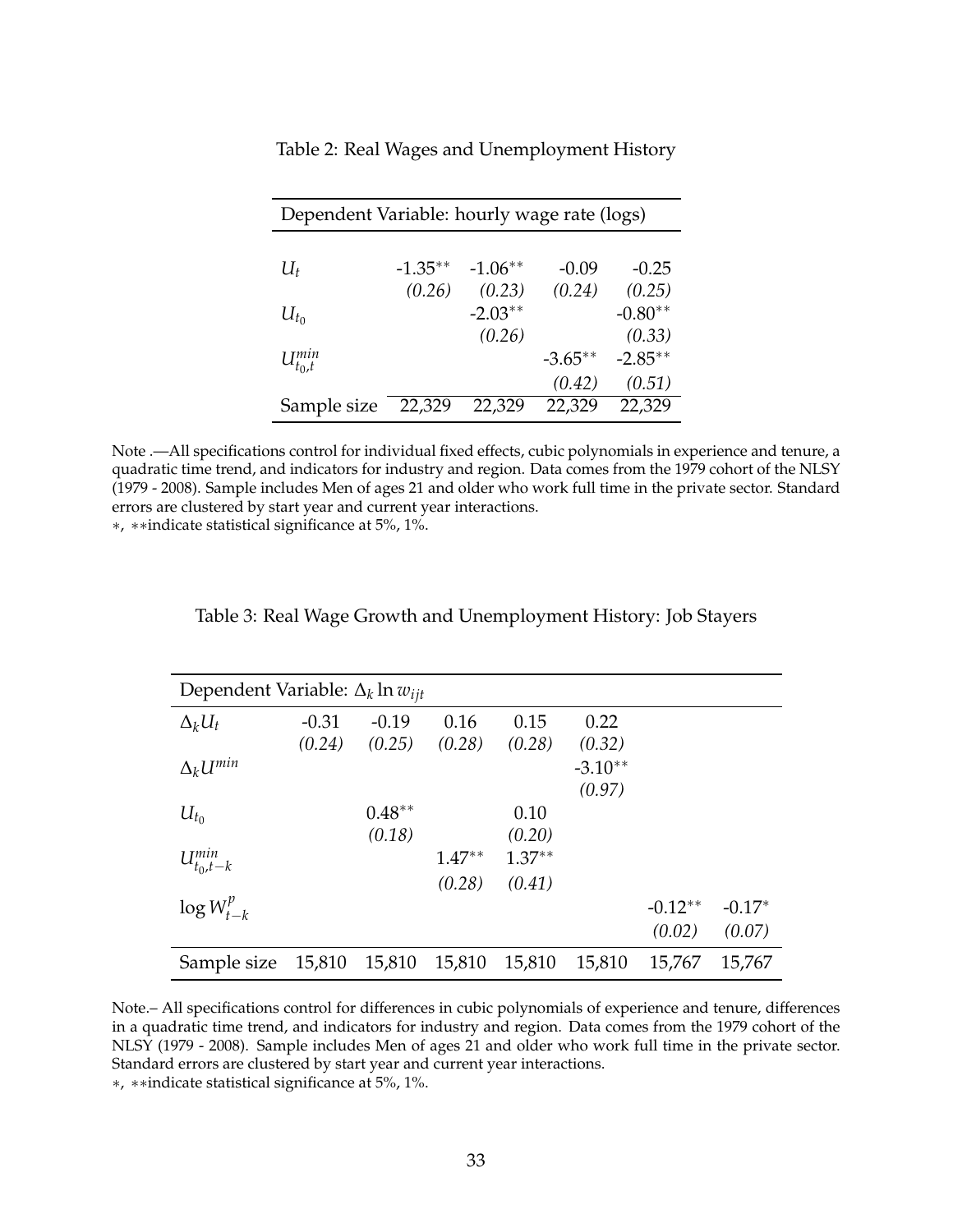| Dependent Variable: hourly wage rate (logs) |            |           |           |           |  |  |
|---------------------------------------------|------------|-----------|-----------|-----------|--|--|
|                                             |            |           |           |           |  |  |
| $U_t$                                       | $-1.35***$ | $-1.06**$ | $-0.09$   | $-0.25$   |  |  |
|                                             | (0.26)     | (0.23)    | (0.24)    | (0.25)    |  |  |
| $U_{t_0}$                                   |            | $-2.03**$ |           | $-0.80**$ |  |  |
|                                             |            | (0.26)    |           | (0.33)    |  |  |
| $U_{t_0,t}^{min}$                           |            |           | $-3.65**$ | $-2.85**$ |  |  |
|                                             |            |           | (0.42)    | (0.51)    |  |  |
| Sample size                                 | 22,329     | 22,329    | 22,329    | 22,329    |  |  |

Table 2: Real Wages and Unemployment History

Note .—All specifications control for individual fixed effects, cubic polynomials in experience and tenure, a quadratic time trend, and indicators for industry and region. Data comes from the 1979 cohort of the NLSY (1979 - 2008). Sample includes Men of ages 21 and older who work full time in the private sector. Standard errors are clustered by start year and current year interactions.

∗, ∗∗indicate statistical significance at 5%, 1%.

| Dependent Variable: $\Delta_k$ ln $w_{ijt}$ |         |          |          |          |           |           |          |
|---------------------------------------------|---------|----------|----------|----------|-----------|-----------|----------|
| $\Delta_k U_t$                              | $-0.31$ | $-0.19$  | 0.16     | 0.15     | 0.22      |           |          |
|                                             | (0.24)  | (0.25)   | (0.28)   | (0.28)   | (0.32)    |           |          |
| $\Delta_k U^{min}$                          |         |          |          |          | $-3.10**$ |           |          |
|                                             |         |          |          |          | (0.97)    |           |          |
| $U_{t_0}$                                   |         | $0.48**$ |          | 0.10     |           |           |          |
|                                             |         | (0.18)   |          | (0.20)   |           |           |          |
| $U_{t_0,t-k}^{min}$                         |         |          | $1.47**$ | $1.37**$ |           |           |          |
|                                             |         |          | (0.28)   | (0.41)   |           |           |          |
| $\log W_{t-k}^p$                            |         |          |          |          |           | $-0.12**$ | $-0.17*$ |
|                                             |         |          |          |          |           | (0.02)    | (0.07)   |
| Sample size                                 | 15,810  | 15,810   | 15,810   | 15,810   | 15,810    | 15,767    | 15,767   |

Note.– All specifications control for differences in cubic polynomials of experience and tenure, differences in a quadratic time trend, and indicators for industry and region. Data comes from the 1979 cohort of the NLSY (1979 - 2008). Sample includes Men of ages 21 and older who work full time in the private sector. Standard errors are clustered by start year and current year interactions.

∗, ∗∗indicate statistical significance at 5%, 1%.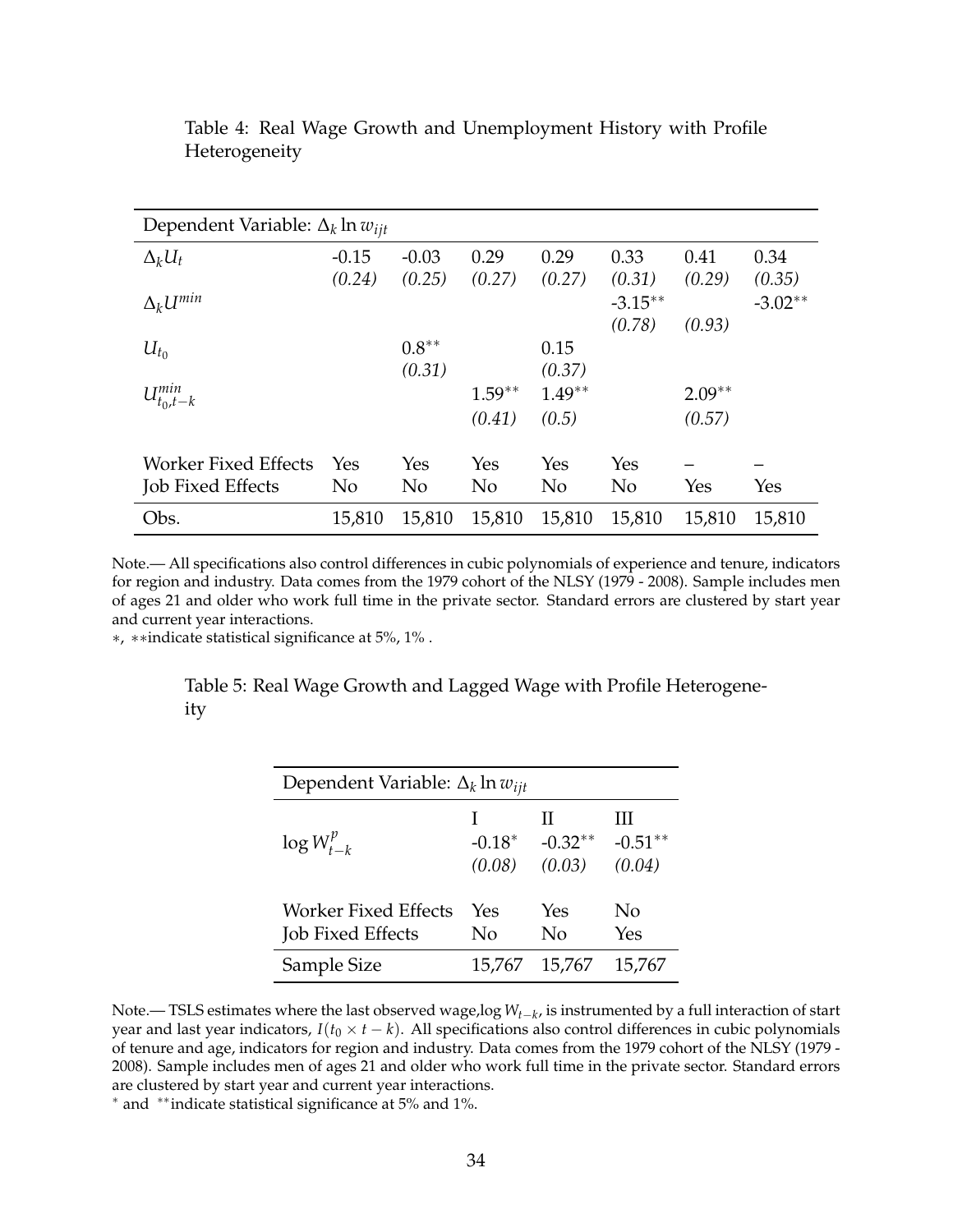| Dependent Variable: $\Delta_k$ ln $w_{iit}$ |                |                |                |                |                |          |           |
|---------------------------------------------|----------------|----------------|----------------|----------------|----------------|----------|-----------|
| $\Delta_k U_t$                              | $-0.15$        | $-0.03$        | 0.29           | 0.29           | 0.33           | 0.41     | 0.34      |
|                                             | (0.24)         | (0.25)         | (0.27)         | (0.27)         | (0.31)         | (0.29)   | (0.35)    |
| $\Delta_k U^{min}$                          |                |                |                |                | $-3.15***$     |          | $-3.02**$ |
|                                             |                |                |                |                | (0.78)         | (0.93)   |           |
| $U_{t_0}$                                   |                | $0.8**$        |                | 0.15           |                |          |           |
|                                             |                | (0.31)         |                | (0.37)         |                |          |           |
| $U_{t_0,t-k}^{min}$                         |                |                | $1.59**$       | $1.49**$       |                | $2.09**$ |           |
|                                             |                |                | (0.41)         | (0.5)          |                | (0.57)   |           |
|                                             |                |                |                |                |                |          |           |
| Worker Fixed Effects                        | Yes            | Yes            | Yes            | Yes            | Yes            |          |           |
| <b>Job Fixed Effects</b>                    | N <sub>o</sub> | N <sub>o</sub> | N <sub>o</sub> | N <sub>o</sub> | N <sub>o</sub> | Yes      | Yes       |
| Obs.                                        | 15,810         | 15,810         | 15,810         | 15,810         | 15,810         | 15,810   | 15,810    |

Table 4: Real Wage Growth and Unemployment History with Profile Heterogeneity

Note.— All specifications also control differences in cubic polynomials of experience and tenure, indicators for region and industry. Data comes from the 1979 cohort of the NLSY (1979 - 2008). Sample includes men of ages 21 and older who work full time in the private sector. Standard errors are clustered by start year and current year interactions.

∗, ∗∗indicate statistical significance at 5%, 1% .

Table 5: Real Wage Growth and Lagged Wage with Profile Heterogeneity

| Dependent Variable: $\Delta_k$ ln $w_{ijt}$      |                    |                          |                          |  |  |
|--------------------------------------------------|--------------------|--------------------------|--------------------------|--|--|
| $\log W_{t-k}^p$                                 | $-0.18*$<br>(0.08) | Ш<br>$-0.32**$<br>(0.03) | Ш<br>$-0.51**$<br>(0.04) |  |  |
| Worker Fixed Effects<br><b>Job Fixed Effects</b> | Yes<br>No          | Yes<br>No                | Nο<br>Yes                |  |  |
| Sample Size                                      | 15,767             | 15,767                   | 15,767                   |  |  |

Note.— TSLS estimates where the last observed wage,log *Wt*−*<sup>k</sup>* , is instrumented by a full interaction of start year and last year indicators,  $I(t_0 \times t - k)$ . All specifications also control differences in cubic polynomials of tenure and age, indicators for region and industry. Data comes from the 1979 cohort of the NLSY (1979 - 2008). Sample includes men of ages 21 and older who work full time in the private sector. Standard errors are clustered by start year and current year interactions.

<sup>∗</sup> and ∗∗indicate statistical significance at 5% and 1%.